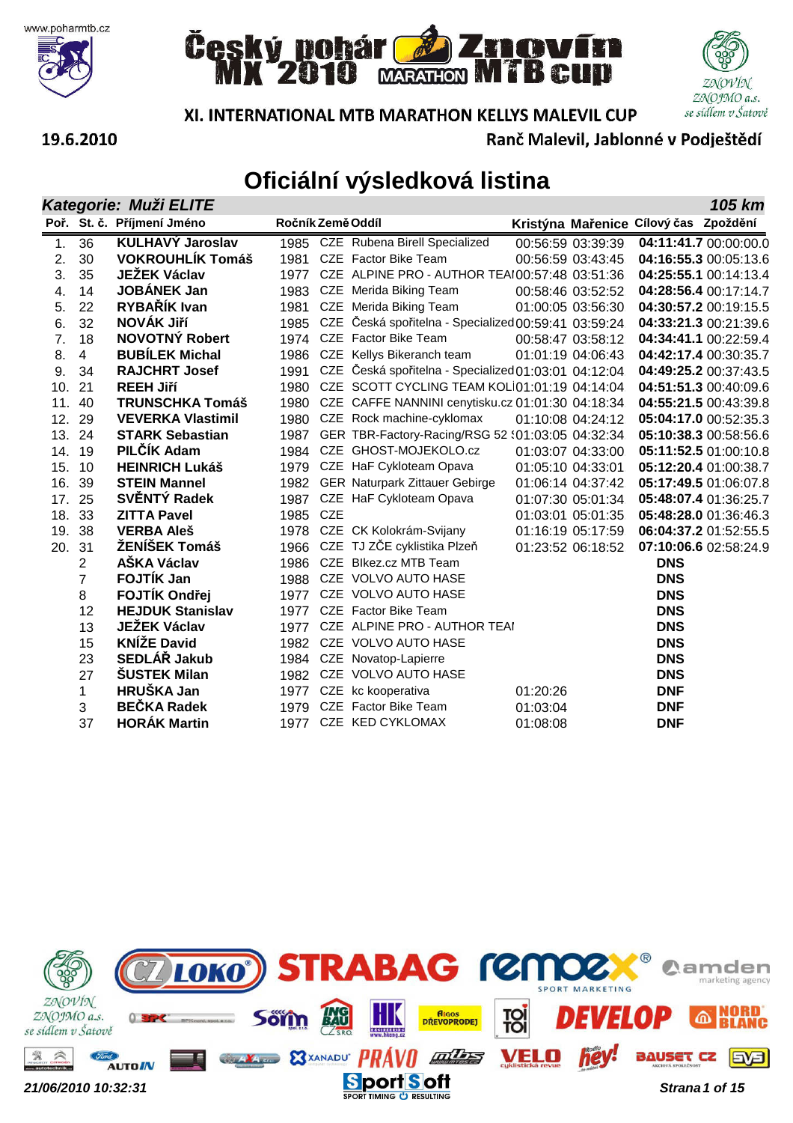







19.6.2010

Ranč Malevil, Jablonné v Podještědí

|        |                | Kategorie: Muži ELITE      |                   |            |                                                           |          |                   |                                       | 105 km                |
|--------|----------------|----------------------------|-------------------|------------|-----------------------------------------------------------|----------|-------------------|---------------------------------------|-----------------------|
|        |                | Poř. St. č. Příjmení Jméno | Ročník Země Oddíl |            |                                                           |          |                   | Kristýna Mařenice Cílový čas Zpoždění |                       |
| 1.     | 36             | <b>KULHAVÝ Jaroslav</b>    |                   |            | 1985 CZE Rubena Birell Specialized                        |          | 00:56:59 03:39:39 |                                       | 04:11:41.7 00:00:00.0 |
| 2.     | 30             | <b>VOKROUHLÍK Tomáš</b>    | 1981              |            | CZE Factor Bike Team                                      |          | 00:56:59 03:43:45 |                                       | 04:16:55.3 00:05:13.6 |
| 3.     | 35             | <b>JEŽEK Václav</b>        | 1977              |            | CZE ALPINE PRO - AUTHOR TEAI00:57:48 03:51:36             |          |                   |                                       | 04:25:55.1 00:14:13.4 |
| 4.     | 14             | <b>JOBÁNEK Jan</b>         |                   |            | 1983 CZE Merida Biking Team                               |          | 00:58:46 03:52:52 |                                       | 04:28:56.4 00:17:14.7 |
| 5.     | 22             | RYBAŘÍK Ivan               |                   |            | 1981 CZE Merida Biking Team                               |          | 01:00:05 03:56:30 |                                       | 04:30:57.2 00:19:15.5 |
| 6.     | 32             | NOVÁK Jiří                 |                   |            | 1985 CZE Česká spořitelna - Specialized 00:59:41 03:59:24 |          |                   |                                       | 04:33:21.3 00:21:39.6 |
| 7.     | 18             | <b>NOVOTNÝ Robert</b>      |                   |            | 1974 CZE Factor Bike Team                                 |          | 00:58:47 03:58:12 |                                       | 04:34:41.1 00:22:59.4 |
| 8.     | $\overline{4}$ | <b>BUBÍLEK Michal</b>      | 1986              |            | CZE Kellys Bikeranch team                                 |          | 01:01:19 04:06:43 |                                       | 04:42:17.4 00:30:35.7 |
| 9.     | 34             | <b>RAJCHRT Josef</b>       | 1991              |            | CZE Česká spořitelna - Specialized 01:03:01 04:12:04      |          |                   |                                       | 04:49:25.2 00:37:43.5 |
| 10.    | 21             | <b>REEH Jiří</b>           | 1980              |            | CZE SCOTT CYCLING TEAM KOLI01:01:19 04:14:04              |          |                   |                                       | 04:51:51.3 00:40:09.6 |
| 11.    | 40             | <b>TRUNSCHKA Tomáš</b>     |                   |            | 1980 CZE CAFFE NANNINI cenytisku.cz 01:01:30 04:18:34     |          |                   |                                       | 04:55:21.5 00:43:39.8 |
| 12.    | 29             | <b>VEVERKA Vlastimil</b>   | 1980              |            | CZE Rock machine-cyklomax                                 |          | 01:10:08 04:24:12 |                                       | 05:04:17.0 00:52:35.3 |
| 13.    | 24             | <b>STARK Sebastian</b>     | 1987              |            | GER TBR-Factory-Racing/RSG 52 \:01:03:05 04:32:34         |          |                   |                                       | 05:10:38.3 00:58:56.6 |
| 14.    | 19             | PILČÍK Adam                |                   |            | 1984 CZE GHOST-MOJEKOLO.cz                                |          | 01:03:07 04:33:00 |                                       | 05:11:52.5 01:00:10.8 |
| 15.    | 10             | <b>HEINRICH Lukáš</b>      |                   |            | 1979 CZE HaF Cykloteam Opava                              |          | 01:05:10 04:33:01 |                                       | 05:12:20.4 01:00:38.7 |
| 16.    | 39             | <b>STEIN Mannel</b>        | 1982              |            | <b>GER Naturpark Zittauer Gebirge</b>                     |          | 01:06:14 04:37:42 |                                       | 05:17:49.5 01:06:07.8 |
| 17.    | 25             | SVĚNTÝ Radek               | 1987              |            | CZE HaF Cykloteam Opava                                   |          | 01:07:30 05:01:34 |                                       | 05:48:07.4 01:36:25.7 |
| 18. 33 |                | <b>ZITTA Pavel</b>         | 1985              | <b>CZE</b> |                                                           |          | 01:03:01 05:01:35 |                                       | 05:48:28.0 01:36:46.3 |
| 19.    | 38             | <b>VERBA Aleš</b>          |                   |            | 1978 CZE CK Kolokrám-Svijany                              |          | 01:16:19 05:17:59 |                                       | 06:04:37.2 01:52:55.5 |
| 20. 31 |                | ŽENÍŠEK Tomáš              |                   |            | 1966 CZE TJ ZČE cyklistika Plzeň                          |          | 01:23:52 06:18:52 |                                       | 07:10:06.6 02:58:24.9 |
|        | $\overline{2}$ | <b>AŠKA Václav</b>         | 1986              |            | CZE Blkez.cz MTB Team                                     |          |                   | <b>DNS</b>                            |                       |
|        | $\overline{7}$ | <b>FOJTÍK Jan</b>          |                   |            | 1988 CZE VOLVO AUTO HASE                                  |          |                   | <b>DNS</b>                            |                       |
|        | 8              | <b>FOJTÍK Ondřej</b>       |                   |            | 1977 CZE VOLVO AUTO HASE                                  |          |                   | <b>DNS</b>                            |                       |
|        | 12             | <b>HEJDUK Stanislav</b>    |                   |            | 1977 CZE Factor Bike Team                                 |          |                   | <b>DNS</b>                            |                       |
|        | 13             | <b>JEŽEK Václav</b>        | 1977              |            | CZE ALPINE PRO - AUTHOR TEAI                              |          |                   | <b>DNS</b>                            |                       |
|        | 15             | <b>KNÍŽE David</b>         | 1982              |            | CZE VOLVO AUTO HASE                                       |          |                   | <b>DNS</b>                            |                       |
|        | 23             | SEDLÁŘ Jakub               |                   |            | 1984 CZE Novatop-Lapierre                                 |          |                   | <b>DNS</b>                            |                       |
|        | 27             | <b>ŠUSTEK Milan</b>        |                   |            | 1982 CZE VOLVO AUTO HASE                                  |          |                   | <b>DNS</b>                            |                       |
|        | 1              | HRUŠKA Jan                 |                   |            | 1977 CZE kc kooperativa                                   | 01:20:26 |                   | <b>DNF</b>                            |                       |
|        | 3              | <b>BEČKA Radek</b>         | 1979              |            | CZE Factor Bike Team                                      | 01:03:04 |                   | <b>DNF</b>                            |                       |
|        | 37             | <b>HORÁK Martin</b>        |                   |            | 1977 CZE KED CYKLOMAX                                     | 01:08:08 |                   | <b>DNF</b>                            |                       |

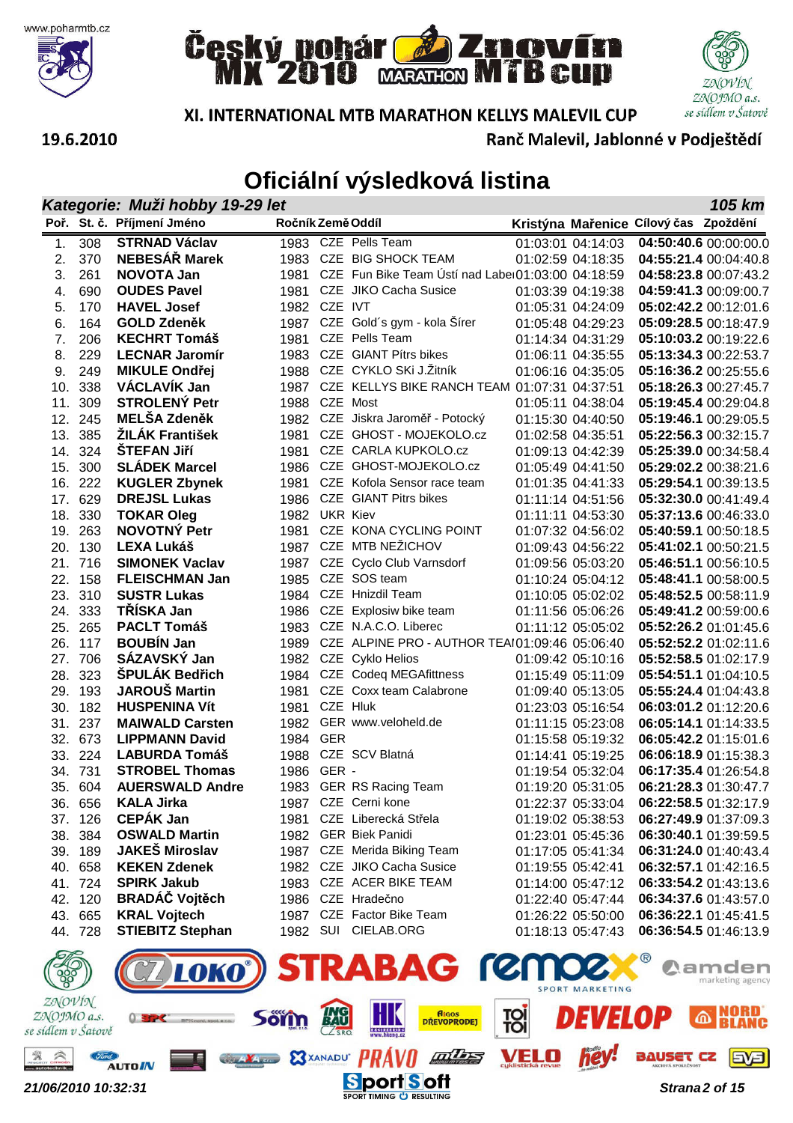







XI. INTERNATIONAL MTB MARATHON KELLYS MALEVIL CUP

Ranč Malevil, Jablonné v Podještědí

|     | Kategorie: Muži hobby 19-29 let<br>105 km |                            |                   |  |                                                        |  |                   |                                       |                       |  |
|-----|-------------------------------------------|----------------------------|-------------------|--|--------------------------------------------------------|--|-------------------|---------------------------------------|-----------------------|--|
|     |                                           | Poř. St. č. Příjmení Jméno | Ročník Země Oddíl |  |                                                        |  |                   | Kristýna Mařenice Cílový čas Zpoždění |                       |  |
| 1.  | 308                                       | <b>STRNAD Václav</b>       |                   |  | 1983 CZE Pells Team                                    |  | 01:03:01 04:14:03 |                                       | 04:50:40.6 00:00:00.0 |  |
| 2.  | 370                                       | <b>NEBESÁŘ Marek</b>       |                   |  | 1983 CZE BIG SHOCK TEAM                                |  | 01:02:59 04:18:35 |                                       | 04:55:21.4 00:04:40.8 |  |
| 3.  | 261                                       | <b>NOVOTA Jan</b>          |                   |  | 1981 CZE Fun Bike Team Ústí nad Laber01:03:00 04:18:59 |  |                   |                                       | 04:58:23.8 00:07:43.2 |  |
| 4.  | 690                                       | <b>OUDES Pavel</b>         |                   |  | 1981 CZE JIKO Cacha Susice                             |  | 01:03:39 04:19:38 |                                       | 04:59:41.3 00:09:00.7 |  |
| 5.  | 170                                       | <b>HAVEL Josef</b>         | 1982 CZE IVT      |  |                                                        |  | 01:05:31 04:24:09 |                                       | 05:02:42.2 00:12:01.6 |  |
| 6.  | 164                                       | <b>GOLD Zdeněk</b>         |                   |  | 1987 CZE Gold's gym - kola Šírer                       |  | 01:05:48 04:29:23 |                                       | 05:09:28.5 00:18:47.9 |  |
| 7.  | 206                                       | <b>KECHRT Tomáš</b>        | 1981              |  | CZE Pells Team                                         |  | 01:14:34 04:31:29 |                                       | 05:10:03.2 00:19:22.6 |  |
| 8.  | 229                                       | <b>LECNAR Jaromír</b>      |                   |  | 1983 CZE GIANT Pítrs bikes                             |  | 01:06:11 04:35:55 |                                       | 05:13:34.3 00:22:53.7 |  |
| 9.  | 249                                       | <b>MIKULE Ondřej</b>       |                   |  | 1988 CZE CYKLO SKi J.Žitník                            |  | 01:06:16 04:35:05 |                                       | 05:16:36.2 00:25:55.6 |  |
| 10. | 338                                       | VÁCLAVÍK Jan               |                   |  | 1987 CZE KELLYS BIKE RANCH TEAM 01:07:31 04:37:51      |  |                   |                                       | 05:18:26.3 00:27:45.7 |  |
| 11. | 309                                       | <b>STROLENÝ Petr</b>       | 1988 CZE Most     |  |                                                        |  | 01:05:11 04:38:04 |                                       | 05:19:45.4 00:29:04.8 |  |
| 12. | 245                                       | <b>MELŠA Zdeněk</b>        |                   |  | 1982 CZE Jiskra Jaroměř - Potocký                      |  | 01:15:30 04:40:50 |                                       | 05:19:46.1 00:29:05.5 |  |
| 13. | 385                                       | <b>ŽILÁK František</b>     | 1981              |  | CZE GHOST - MOJEKOLO.cz                                |  | 01:02:58 04:35:51 |                                       | 05:22:56.3 00:32:15.7 |  |
| 14. | 324                                       | <b>STEFAN Jiří</b>         | 1981              |  | CZE CARLA KUPKOLO.cz                                   |  | 01:09:13 04:42:39 |                                       | 05:25:39.0 00:34:58.4 |  |
| 15. | 300                                       | <b>SLÁDEK Marcel</b>       |                   |  | 1986 CZE GHOST-MOJEKOLO.cz                             |  | 01:05:49 04:41:50 |                                       | 05:29:02.2 00:38:21.6 |  |
| 16. | 222                                       | <b>KUGLER Zbynek</b>       |                   |  | 1981 CZE Kofola Sensor race team                       |  | 01:01:35 04:41:33 |                                       | 05:29:54.1 00:39:13.5 |  |
| 17. | 629                                       | <b>DREJSL Lukas</b>        |                   |  | 1986 CZE GIANT Pitrs bikes                             |  | 01:11:14 04:51:56 |                                       | 05:32:30.0 00:41:49.4 |  |
| 18. | 330                                       | <b>TOKAR Oleg</b>          | 1982 UKR Kiev     |  |                                                        |  | 01:11:11 04:53:30 |                                       | 05:37:13.6 00:46:33.0 |  |
| 19. | 263                                       | <b>NOVOTNÝ Petr</b>        |                   |  | 1981 CZE KONA CYCLING POINT                            |  | 01:07:32 04:56:02 |                                       | 05:40:59.1 00:50:18.5 |  |
| 20. | 130                                       | <b>LEXA Lukáš</b>          |                   |  | 1987 CZE MTB NEŽICHOV                                  |  | 01:09:43 04:56:22 |                                       | 05:41:02.1 00:50:21.5 |  |
|     | 21. 716                                   | <b>SIMONEK Vaclav</b>      |                   |  | 1987 CZE Cyclo Club Varnsdorf                          |  | 01:09:56 05:03:20 |                                       | 05:46:51.1 00:56:10.5 |  |
| 22. | 158                                       | <b>FLEISCHMAN Jan</b>      |                   |  | 1985 CZE SOS team                                      |  | 01:10:24 05:04:12 |                                       | 05:48:41.1 00:58:00.5 |  |
| 23. | 310                                       | <b>SUSTR Lukas</b>         |                   |  | 1984 CZE Hnizdil Team                                  |  | 01:10:05 05:02:02 |                                       | 05:48:52.5 00:58:11.9 |  |
| 24. | 333                                       | TŘÍSKA Jan                 |                   |  | 1986 CZE Explosiw bike team                            |  | 01:11:56 05:06:26 |                                       | 05:49:41.2 00:59:00.6 |  |
| 25. | 265                                       | <b>PACLT Tomáš</b>         |                   |  | 1983 CZE N.A.C.O. Liberec                              |  | 01:11:12 05:05:02 |                                       | 05:52:26.2 01:01:45.6 |  |
| 26. | 117                                       | <b>BOUBÍN Jan</b>          | 1989              |  | CZE ALPINE PRO - AUTHOR TEAI01:09:46 05:06:40          |  |                   |                                       | 05:52:52.2 01:02:11.6 |  |
| 27. | 706                                       | SÁZAVSKÝ Jan               |                   |  | 1982 CZE Cyklo Helios                                  |  | 01:09:42 05:10:16 |                                       | 05:52:58.5 01:02:17.9 |  |
| 28. | 323                                       | ŠPULÁK Bedřich             |                   |  | 1984 CZE Codeq MEGAfittness                            |  | 01:15:49 05:11:09 |                                       | 05:54:51.1 01:04:10.5 |  |
| 29. | 193                                       | JAROUŠ Martin              | 1981              |  | CZE Coxx team Calabrone                                |  | 01:09:40 05:13:05 |                                       | 05:55:24.4 01:04:43.8 |  |
| 30. | 182                                       | <b>HUSPENINA Vít</b>       | 1981 CZE Hluk     |  |                                                        |  | 01:23:03 05:16:54 |                                       | 06:03:01.2 01:12:20.6 |  |
| 31. | 237                                       | <b>MAIWALD Carsten</b>     |                   |  | 1982 GER www.veloheld.de                               |  | 01:11:15 05:23:08 |                                       | 06:05:14.1 01:14:33.5 |  |
| 32. | 673                                       | <b>LIPPMANN David</b>      | 1984 GER          |  |                                                        |  | 01:15:58 05:19:32 |                                       | 06:05:42.2 01:15:01.6 |  |
| 33. | 224                                       | <b>LABURDA Tomáš</b>       |                   |  | 1988 CZE SCV Blatná                                    |  | 01:14:41 05:19:25 |                                       | 06:06:18.9 01:15:38.3 |  |
| 34. | 731                                       | <b>STROBEL Thomas</b>      | 1986 GER -        |  |                                                        |  | 01:19:54 05:32:04 |                                       | 06:17:35.4 01:26:54.8 |  |
|     | 35. 604                                   | <b>AUERSWALD Andre</b>     |                   |  | 1983 GER RS Racing Team                                |  | 01:19:20 05:31:05 |                                       | 06:21:28.3 01:30:47.7 |  |
|     | 36. 656                                   | <b>KALA Jirka</b>          |                   |  | 1987 CZE Cerni kone                                    |  | 01:22:37 05:33:04 |                                       | 06:22:58.5 01:32:17.9 |  |
|     | 37. 126                                   | <b>CEPÁK Jan</b>           |                   |  | 1981 CZE Liberecká Střela                              |  | 01:19:02 05:38:53 |                                       | 06:27:49.9 01:37:09.3 |  |
| 38. | 384                                       | <b>OSWALD Martin</b>       |                   |  | 1982 GER Biek Panidi                                   |  | 01:23:01 05:45:36 |                                       | 06:30:40.1 01:39:59.5 |  |
| 39. | 189                                       | <b>JAKEŠ Miroslav</b>      |                   |  | 1987 CZE Merida Biking Team                            |  | 01:17:05 05:41:34 |                                       | 06:31:24.0 01:40:43.4 |  |
| 40. | 658                                       | <b>KEKEN Zdenek</b>        |                   |  | 1982 CZE JIKO Cacha Susice                             |  | 01:19:55 05:42:41 |                                       | 06:32:57.1 01:42:16.5 |  |
|     | 41. 724                                   | <b>SPIRK Jakub</b>         |                   |  | 1983 CZE ACER BIKE TEAM                                |  | 01:14:00 05:47:12 |                                       | 06:33:54.2 01:43:13.6 |  |
| 42. | 120                                       | <b>BRADÁČ Vojtěch</b>      |                   |  | 1986 CZE Hradečno                                      |  | 01:22:40 05:47:44 |                                       | 06:34:37.6 01:43:57.0 |  |
|     | 43. 665                                   | <b>KRAL Vojtech</b>        |                   |  | 1987 CZE Factor Bike Team                              |  | 01:26:22 05:50:00 |                                       | 06:36:22.1 01:45:41.5 |  |
|     | 44. 728                                   | <b>STIEBITZ Stephan</b>    |                   |  | 1982 SUI CIELAB.ORG                                    |  | 01:18:13 05:47:43 |                                       | 06:36:54.5 01:46:13.9 |  |
|     |                                           |                            |                   |  |                                                        |  |                   |                                       |                       |  |
|     |                                           |                            |                   |  | <b>LOKA<sup>N</sup> STRARAC <i>(CMM2</i>)</b>          |  |                   |                                       | <b>Mamden</b>         |  |

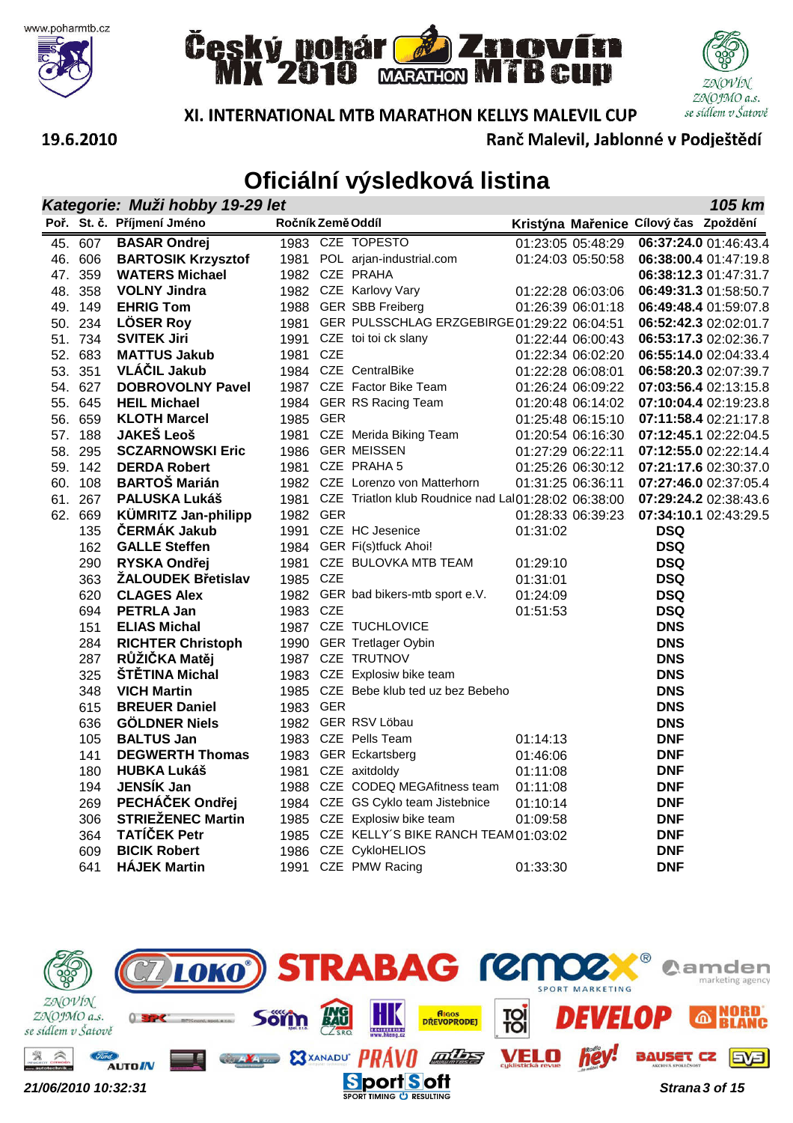







XI. INTERNATIONAL MTB MARATHON KELLYS MALEVIL CUP

Ranč Malevil, Jablonné v Podještědí

| Kategorie: Muži hobby 19-29 let<br>105 km |                                              |                   |  |                                                          |          |                   |                                       |                       |  |  |
|-------------------------------------------|----------------------------------------------|-------------------|--|----------------------------------------------------------|----------|-------------------|---------------------------------------|-----------------------|--|--|
|                                           | Poř. St. č. Příjmení Jméno                   | Ročník Země Oddíl |  |                                                          |          |                   | Kristýna Mařenice Cílový čas Zpoždění |                       |  |  |
| 45. 607                                   | <b>BASAR Ondrej</b>                          |                   |  | 1983 CZE TOPESTO                                         |          | 01:23:05 05:48:29 |                                       | 06:37:24.0 01:46:43.4 |  |  |
| 46. 606                                   | <b>BARTOSIK Krzysztof</b>                    |                   |  | 1981 POL arjan-industrial.com                            |          | 01:24:03 05:50:58 |                                       | 06:38:00.4 01:47:19.8 |  |  |
| 47. 359                                   | <b>WATERS Michael</b>                        |                   |  | 1982 CZE PRAHA                                           |          |                   |                                       | 06:38:12.3 01:47:31.7 |  |  |
| 48. 358                                   | <b>VOLNY Jindra</b>                          |                   |  | 1982 CZE Karlovy Vary                                    |          | 01:22:28 06:03:06 |                                       | 06:49:31.3 01:58:50.7 |  |  |
| 49. 149                                   | <b>EHRIG Tom</b>                             |                   |  | 1988 GER SBB Freiberg                                    |          | 01:26:39 06:01:18 |                                       | 06:49:48.4 01:59:07.8 |  |  |
| 50. 234                                   | <b>LÖSER Roy</b>                             |                   |  | 1981 GER PULSSCHLAG ERZGEBIRGE 01:29:22 06:04:51         |          |                   |                                       | 06:52:42.3 02:02:01.7 |  |  |
| 51. 734                                   | <b>SVITEK Jiri</b>                           |                   |  | 1991 CZE toi toi ck slany                                |          | 01:22:44 06:00:43 |                                       | 06:53:17.3 02:02:36.7 |  |  |
| 52. 683                                   | <b>MATTUS Jakub</b>                          | 1981 CZE          |  |                                                          |          | 01:22:34 06:02:20 |                                       | 06:55:14.0 02:04:33.4 |  |  |
| 53. 351                                   | <b>VLÁČIL Jakub</b>                          |                   |  | 1984 CZE CentralBike                                     |          | 01:22:28 06:08:01 |                                       | 06:58:20.3 02:07:39.7 |  |  |
| 54. 627                                   | <b>DOBROVOLNY Pavel</b>                      |                   |  | 1987 CZE Factor Bike Team                                |          | 01:26:24 06:09:22 |                                       | 07:03:56.4 02:13:15.8 |  |  |
| 55. 645                                   | <b>HEIL Michael</b>                          |                   |  | 1984 GER RS Racing Team                                  |          | 01:20:48 06:14:02 |                                       | 07:10:04.4 02:19:23.8 |  |  |
| 56. 659                                   | <b>KLOTH Marcel</b>                          | 1985 GER          |  |                                                          |          | 01:25:48 06:15:10 |                                       | 07:11:58.4 02:21:17.8 |  |  |
| 57. 188                                   | <b>JAKEŠ Leoš</b>                            |                   |  | 1981 CZE Merida Biking Team                              |          | 01:20:54 06:16:30 |                                       | 07:12:45.1 02:22:04.5 |  |  |
| 58. 295                                   | <b>SCZARNOWSKI Eric</b>                      |                   |  | 1986 GER MEISSEN                                         |          | 01:27:29 06:22:11 |                                       | 07:12:55.0 02:22:14.4 |  |  |
| 59. 142                                   | <b>DERDA Robert</b>                          |                   |  | 1981 CZE PRAHA 5                                         |          | 01:25:26 06:30:12 |                                       | 07:21:17.6 02:30:37.0 |  |  |
| 60. 108                                   | <b>BARTOŠ Marián</b>                         |                   |  | 1982 CZE Lorenzo von Matterhorn                          |          | 01:31:25 06:36:11 |                                       | 07:27:46.0 02:37:05.4 |  |  |
| 61. 267                                   | PALUSKA Lukáš                                |                   |  | 1981 CZE Triatlon klub Roudnice nad LaI01:28:02 06:38:00 |          |                   |                                       | 07:29:24.2 02:38:43.6 |  |  |
| 62. 669                                   | KÜMRITZ Jan-philipp                          | 1982 GER          |  |                                                          |          | 01:28:33 06:39:23 |                                       | 07:34:10.1 02:43:29.5 |  |  |
| 135                                       | ČERMÁK Jakub                                 |                   |  | 1991 CZE HC Jesenice                                     | 01:31:02 |                   | <b>DSQ</b>                            |                       |  |  |
| 162                                       | <b>GALLE Steffen</b>                         |                   |  | 1984 GER Fi(s)tfuck Ahoi!                                |          |                   | <b>DSQ</b>                            |                       |  |  |
| 290                                       | RYSKA Ondřej                                 |                   |  | 1981 CZE BULOVKA MTB TEAM                                | 01:29:10 |                   | <b>DSQ</b>                            |                       |  |  |
| 363                                       | <b>ŽALOUDEK Břetislav</b>                    | 1985 CZE          |  |                                                          | 01:31:01 |                   | <b>DSQ</b>                            |                       |  |  |
| 620                                       | <b>CLAGES Alex</b>                           |                   |  | 1982 GER bad bikers-mtb sport e.V.                       | 01:24:09 |                   | <b>DSQ</b>                            |                       |  |  |
| 694                                       | <b>PETRLA Jan</b>                            | 1983 CZE          |  |                                                          | 01:51:53 |                   | <b>DSQ</b>                            |                       |  |  |
| 151                                       | <b>ELIAS Michal</b>                          |                   |  | 1987 CZE TUCHLOVICE                                      |          |                   | <b>DNS</b>                            |                       |  |  |
| 284                                       | <b>RICHTER Christoph</b>                     |                   |  | 1990 GER Tretlager Oybin                                 |          |                   | <b>DNS</b>                            |                       |  |  |
| 287                                       | RŮŽIČKA Matěj                                |                   |  | 1987 CZE TRUTNOV                                         |          |                   | <b>DNS</b>                            |                       |  |  |
| 325                                       | ŠTĚTINA Michal                               |                   |  | 1983 CZE Explosiw bike team                              |          |                   | <b>DNS</b>                            |                       |  |  |
| 348                                       | <b>VICH Martin</b>                           |                   |  | 1985 CZE Bebe klub ted uz bez Bebeho                     |          |                   | <b>DNS</b>                            |                       |  |  |
| 615                                       | <b>BREUER Daniel</b>                         | 1983 GER          |  |                                                          |          |                   | <b>DNS</b>                            |                       |  |  |
| 636                                       | <b>GÖLDNER Niels</b>                         |                   |  | 1982 GER RSV Löbau                                       |          |                   | <b>DNS</b>                            |                       |  |  |
| 105                                       | <b>BALTUS Jan</b>                            |                   |  | 1983 CZE Pells Team                                      | 01:14:13 |                   | <b>DNF</b>                            |                       |  |  |
| 141                                       | <b>DEGWERTH Thomas</b><br><b>HUBKA Lukáš</b> |                   |  | 1983 GER Eckartsberg                                     | 01:46:06 |                   | <b>DNF</b>                            |                       |  |  |
| 180                                       | JENSÍK Jan                                   |                   |  | 1981 CZE axitdoldy<br>1988 CZE CODEQ MEGAfitness team    | 01:11:08 |                   | <b>DNF</b><br><b>DNF</b>              |                       |  |  |
| 194<br>269                                | PECHÁČEK Ondřej                              |                   |  | 1984 CZE GS Cyklo team Jistebnice                        | 01:11:08 |                   | <b>DNF</b>                            |                       |  |  |
| 306                                       | <b>STRIEŽENEC Martin</b>                     |                   |  | 1985 CZE Explosiw bike team                              | 01:10:14 |                   | <b>DNF</b>                            |                       |  |  |
| 364                                       | <b>TATÍČEK Petr</b>                          |                   |  | 1985 CZE KELLY'S BIKE RANCH TEAM 01:03:02                | 01:09:58 |                   | <b>DNF</b>                            |                       |  |  |
| 609                                       | <b>BICIK Robert</b>                          |                   |  | 1986 CZE CykloHELIOS                                     |          |                   | <b>DNF</b>                            |                       |  |  |
| 641                                       | <b>HÁJEK Martin</b>                          |                   |  | 1991 CZE PMW Racing                                      |          |                   | <b>DNF</b>                            |                       |  |  |
|                                           |                                              |                   |  |                                                          | 01:33:30 |                   |                                       |                       |  |  |

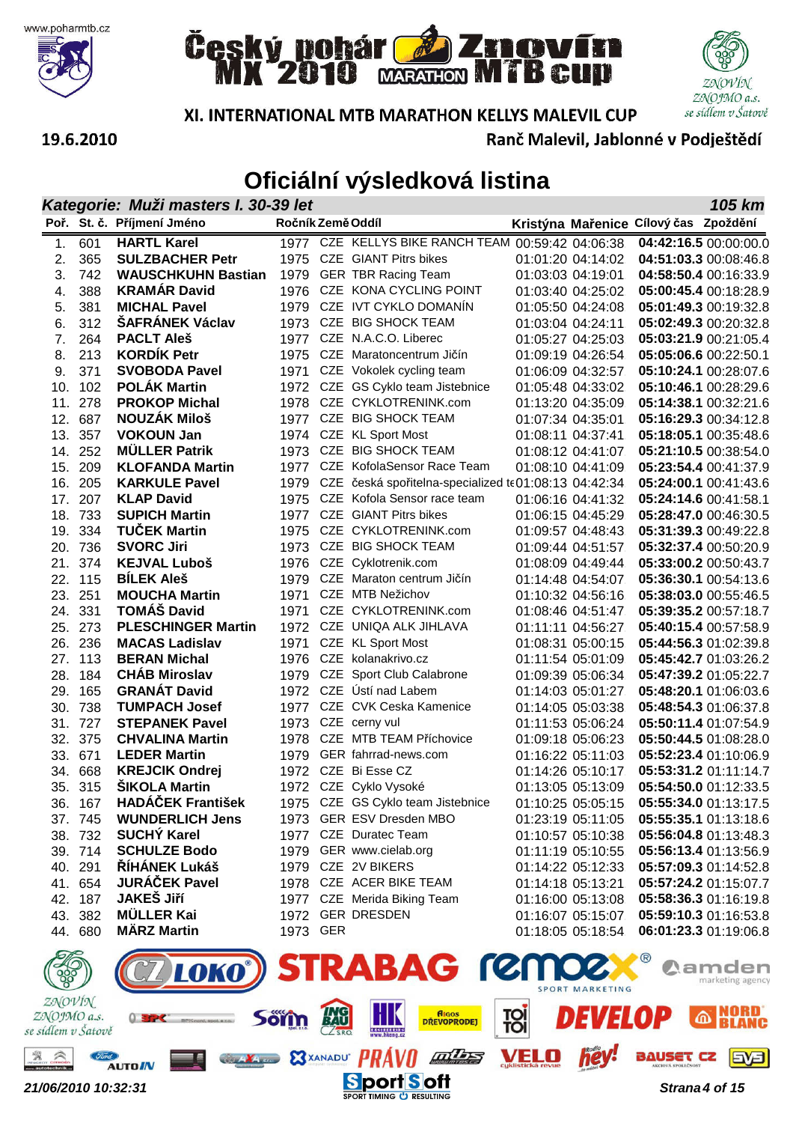







Ranč Malevil, Jablonné v Podještědí

#### 19.6.2010

|               | 105 km<br>Kategorie: Muži masters I. 30-39 let |                                          |                   |  |                                                      |  |                                        |                                       |                                                |  |
|---------------|------------------------------------------------|------------------------------------------|-------------------|--|------------------------------------------------------|--|----------------------------------------|---------------------------------------|------------------------------------------------|--|
|               |                                                | Poř. St. č. Příjmení Jméno               | Ročník Země Oddíl |  |                                                      |  |                                        | Kristýna Mařenice Cílový čas Zpoždění |                                                |  |
| 1.            | 601                                            | <b>HARTL Karel</b>                       |                   |  | 1977 CZE KELLYS BIKE RANCH TEAM 00:59:42 04:06:38    |  |                                        |                                       | 04:42:16.5 00:00:00.0                          |  |
| 2.            | 365                                            | <b>SULZBACHER Petr</b>                   | 1975              |  | <b>CZE</b> GIANT Pitrs bikes                         |  | 01:01:20 04:14:02                      |                                       | 04:51:03.3 00:08:46.8                          |  |
| 3.            | 742                                            | <b>WAUSCHKUHN Bastian</b>                | 1979              |  | <b>GER TBR Racing Team</b>                           |  | 01:03:03 04:19:01                      |                                       | 04:58:50.4 00:16:33.9                          |  |
| 4.            | 388                                            | <b>KRAMÁR David</b>                      |                   |  | 1976 CZE KONA CYCLING POINT                          |  | 01:03:40 04:25:02                      |                                       | 05:00:45.4 00:18:28.9                          |  |
| 5.            | 381                                            | <b>MICHAL Pavel</b>                      |                   |  | 1979 CZE IVT CYKLO DOMANIN                           |  | 01:05:50 04:24:08                      |                                       | 05:01:49.3 00:19:32.8                          |  |
| 6.            | 312                                            | <b>ŠAFRÁNEK Václav</b>                   |                   |  | 1973 CZE BIG SHOCK TEAM                              |  | 01:03:04 04:24:11                      |                                       | 05:02:49.3 00:20:32.8                          |  |
| 7.            | 264                                            | <b>PACLT Aleš</b>                        |                   |  | 1977 CZE N.A.C.O. Liberec                            |  | 01:05:27 04:25:03                      |                                       | 05:03:21.9 00:21:05.4                          |  |
| 8.            | 213                                            | <b>KORDÍK Petr</b>                       | 1975              |  | CZE Maratoncentrum Jičín                             |  | 01:09:19 04:26:54                      |                                       | 05:05:06.6 00:22:50.1                          |  |
| 9.            | 371                                            | <b>SVOBODA Pavel</b>                     | 1971              |  | CZE Vokolek cycling team                             |  | 01:06:09 04:32:57                      |                                       | 05:10:24.1 00:28:07.6                          |  |
| 10.           | 102                                            | <b>POLAK Martin</b>                      | 1972              |  | CZE GS Cyklo team Jistebnice                         |  | 01:05:48 04:33:02                      |                                       | 05:10:46.1 00:28:29.6                          |  |
| 11.           | 278                                            | <b>PROKOP Michal</b>                     | 1978              |  | CZE CYKLOTRENINK.com                                 |  | 01:13:20 04:35:09                      |                                       | 05:14:38.1 00:32:21.6                          |  |
| 12.           | 687                                            | <b>NOUZÁK Miloš</b>                      | 1977              |  | CZE BIG SHOCK TEAM                                   |  | 01:07:34 04:35:01                      |                                       | 05:16:29.3 00:34:12.8                          |  |
| 13.           | 357                                            | <b>VOKOUN Jan</b>                        | 1974              |  | CZE KL Sport Most                                    |  | 01:08:11 04:37:41                      |                                       | 05:18:05.1 00:35:48.6                          |  |
| 14.           | 252                                            | <b>MÜLLER Patrik</b>                     | 1973              |  | CZE BIG SHOCK TEAM                                   |  | 01:08:12 04:41:07                      |                                       | 05:21:10.5 00:38:54.0                          |  |
| 15.           | 209                                            | <b>KLOFANDA Martin</b>                   |                   |  | 1977 CZE KofolaSensor Race Team                      |  | 01:08:10 04:41:09                      |                                       | 05:23:54.4 00:41:37.9                          |  |
| 16.           | 205                                            | <b>KARKULE Pavel</b>                     | 1979              |  | CZE česká spořitelna-specialized te01:08:13 04:42:34 |  |                                        |                                       | 05:24:00.1 00:41:43.6                          |  |
| 17.           | 207                                            | <b>KLAP David</b>                        | 1975              |  | CZE Kofola Sensor race team                          |  | 01:06:16 04:41:32                      |                                       | 05:24:14.6 00:41:58.1                          |  |
| 18.           | 733                                            | <b>SUPICH Martin</b>                     |                   |  | 1977 CZE GIANT Pitrs bikes                           |  | 01:06:15 04:45:29                      |                                       | 05:28:47.0 00:46:30.5                          |  |
| 19.           | 334                                            | <b>TUČEK Martin</b>                      | 1975              |  | CZE CYKLOTRENINK.com                                 |  | 01:09:57 04:48:43                      |                                       | 05:31:39.3 00:49:22.8                          |  |
|               | 20. 736                                        | <b>SVORC Jiri</b>                        | 1973              |  | CZE BIG SHOCK TEAM                                   |  | 01:09:44 04:51:57                      |                                       | 05:32:37.4 00:50:20.9                          |  |
| 21.           | 374                                            | <b>KEJVAL Luboš</b><br><b>BÍLEK Aleš</b> | 1976<br>1979      |  | CZE Cyklotrenik.com<br>CZE Maraton centrum Jičín     |  | 01:08:09 04:49:44<br>01:14:48 04:54:07 |                                       | 05:33:00.2 00:50:43.7                          |  |
| 23.           | 22. 115<br>251                                 | <b>MOUCHA Martin</b>                     | 1971              |  | CZE MTB Nežichov                                     |  | 01:10:32 04:56:16                      |                                       | 05:36:30.1 00:54:13.6<br>05:38:03.0 00:55:46.5 |  |
|               | 24. 331                                        | <b>TOMÁŠ David</b>                       | 1971              |  | CZE CYKLOTRENINK.com                                 |  | 01:08:46 04:51:47                      |                                       | 05:39:35.2 00:57:18.7                          |  |
| 25.           | 273                                            | <b>PLESCHINGER Martin</b>                | 1972              |  | CZE UNIQA ALK JIHLAVA                                |  | 01:11:11 04:56:27                      |                                       | 05:40:15.4 00:57:58.9                          |  |
| 26.           | 236                                            | <b>MACAS Ladislav</b>                    | 1971              |  | CZE KL Sport Most                                    |  | 01:08:31 05:00:15                      |                                       | 05:44:56.3 01:02:39.8                          |  |
| 27.           | 113                                            | <b>BERAN Michal</b>                      | 1976              |  | CZE kolanakrivo.cz                                   |  | 01:11:54 05:01:09                      |                                       | 05:45:42.7 01:03:26.2                          |  |
| 28.           | 184                                            | <b>CHÁB Miroslav</b>                     | 1979              |  | CZE Sport Club Calabrone                             |  | 01:09:39 05:06:34                      |                                       | 05:47:39.2 01:05:22.7                          |  |
| 29.           | 165                                            | <b>GRANÁT David</b>                      |                   |  | 1972 CZE Ústí nad Labem                              |  | 01:14:03 05:01:27                      |                                       | 05:48:20.1 01:06:03.6                          |  |
| 30.           | 738                                            | <b>TUMPACH Josef</b>                     | 1977              |  | CZE CVK Ceska Kamenice                               |  | 01:14:05 05:03:38                      |                                       | 05:48:54.3 01:06:37.8                          |  |
| 31.           | 727                                            | <b>STEPANEK Pavel</b>                    | 1973              |  | CZE cerny vul                                        |  | 01:11:53 05:06:24                      |                                       | 05:50:11.4 01:07:54.9                          |  |
|               | 32. 375                                        | <b>CHVALINA Martin</b>                   | 1978              |  | CZE MTB TEAM Příchovice                              |  | 01:09:18 05:06:23                      |                                       | 05:50:44.5 01:08:28.0                          |  |
|               | 33. 671                                        | <b>LEDER Martin</b>                      | 1979              |  | GER fahrrad-news.com                                 |  | 01:16:22 05:11:03                      |                                       | 05:52:23.4 01:10:06.9                          |  |
| 34.           | 668                                            | <b>KREJCIK Ondrej</b>                    |                   |  | 1972 CZE Bi Esse CZ                                  |  | 01:14:26 05:10:17                      |                                       | 05:53:31.2 01:11:14.7                          |  |
|               | 35. 315                                        | <b>SIKOLA Martin</b>                     |                   |  | 1972 CZE Cyklo Vysoké                                |  | 01:13:05 05:13:09                      |                                       | 05:54:50.0 01:12:33.5                          |  |
|               | 36. 167                                        | <b>HADÁČEK František</b>                 |                   |  | 1975 CZE GS Cyklo team Jistebnice                    |  | 01:10:25 05:05:15                      |                                       | 05:55:34.0 01:13:17.5                          |  |
|               | 37. 745                                        | <b>WUNDERLICH Jens</b>                   |                   |  | 1973 GER ESV Dresden MBO                             |  | 01:23:19 05:11:05                      |                                       | 05:55:35.1 01:13:18.6                          |  |
|               | 38. 732                                        | <b>SUCHY Karel</b>                       |                   |  | 1977 CZE Duratec Team                                |  | 01:10:57 05:10:38                      |                                       | 05:56:04.8 01:13:48.3                          |  |
|               | 39. 714                                        | <b>SCHULZE Bodo</b>                      |                   |  | 1979 GER www.cielab.org                              |  | 01:11:19 05:10:55                      |                                       | 05:56:13.4 01:13:56.9                          |  |
|               | 40. 291                                        | <b>ŘÍHÁNEK Lukáš</b>                     |                   |  | 1979 CZE 2V BIKERS                                   |  | 01:14:22 05:12:33                      |                                       | 05:57:09.3 01:14:52.8                          |  |
|               | 41. 654                                        | <b>JURÁČEK Pavel</b>                     |                   |  | 1978 CZE ACER BIKE TEAM                              |  | 01:14:18 05:13:21                      |                                       | 05:57:24.2 01:15:07.7                          |  |
|               | 42. 187                                        | <b>JAKEŠ Jiří</b>                        |                   |  | 1977 CZE Merida Biking Team                          |  | 01:16:00 05:13:08                      |                                       | 05:58:36.3 01:16:19.8                          |  |
|               | 43. 382                                        | <b>MÜLLER Kai</b>                        |                   |  | 1972 GER DRESDEN                                     |  | 01:16:07 05:15:07                      |                                       | 05:59:10.3 01:16:53.8                          |  |
|               | 44. 680                                        | <b>MÄRZ Martin</b>                       | 1973 GER          |  |                                                      |  | 01:18:05 05:18:54                      |                                       | 06:01:23.3 01:19:06.8                          |  |
| $\mathscr{D}$ |                                                |                                          |                   |  | <b>CTRADAC COOCON</b>                                |  |                                        | $\bigcirc$ R                          |                                                |  |

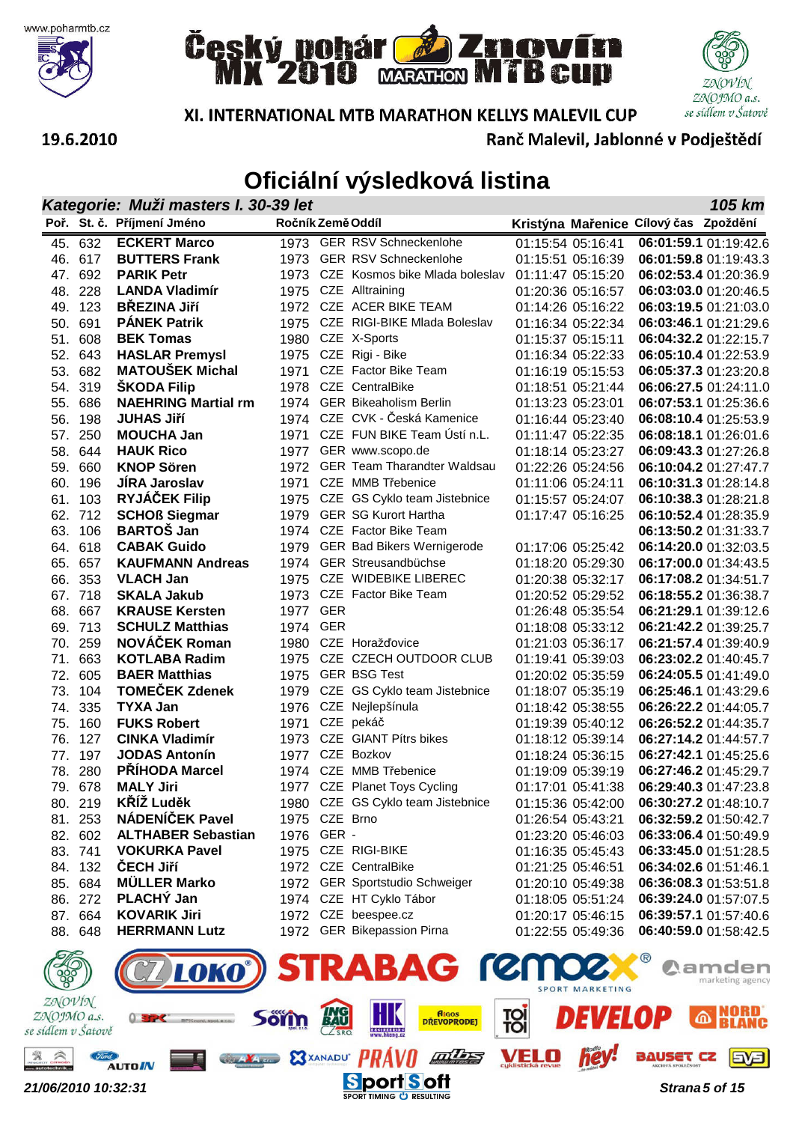







XI. INTERNATIONAL MTB MARATHON KELLYS MALEVIL CUP

Ranč Malevil, Jablonné v Podještědí

|               | Kategorie: Muži masters I. 30-39 let<br>105 km |                                              |                   |            |                                                             |  |                                        |                                       |                                                |  |  |
|---------------|------------------------------------------------|----------------------------------------------|-------------------|------------|-------------------------------------------------------------|--|----------------------------------------|---------------------------------------|------------------------------------------------|--|--|
|               |                                                | Poř. St. č. Příjmení Jméno                   | Ročník Země Oddíl |            |                                                             |  |                                        | Kristýna Mařenice Cílový čas Zpoždění |                                                |  |  |
| 45.           | 632                                            | <b>ECKERT Marco</b>                          | 1973              |            | <b>GER RSV Schneckenlohe</b>                                |  | 01:15:54 05:16:41                      |                                       | 06:01:59.1 01:19:42.6                          |  |  |
| 46.           | 617                                            | <b>BUTTERS Frank</b>                         | 1973              |            | <b>GER RSV Schneckenlohe</b>                                |  | 01:15:51 05:16:39                      |                                       | 06:01:59.8 01:19:43.3                          |  |  |
| 47.           | 692                                            | <b>PARIK Petr</b>                            | 1973              |            | CZE Kosmos bike Mlada boleslav                              |  | 01:11:47 05:15:20                      |                                       | 06:02:53.4 01:20:36.9                          |  |  |
| 48.           | 228                                            | <b>LANDA Vladimír</b>                        | 1975              |            | CZE Alltraining                                             |  | 01:20:36 05:16:57                      |                                       | 06:03:03.0 01:20:46.5                          |  |  |
| 49.           | 123                                            | <b>BŘEZINA Jiří</b>                          | 1972              |            | CZE ACER BIKE TEAM                                          |  | 01:14:26 05:16:22                      |                                       | 06:03:19.5 01:21:03.0                          |  |  |
| 50.           | 691                                            | <b>PANEK Patrik</b>                          | 1975              |            | CZE RIGI-BIKE Mlada Boleslav                                |  | 01:16:34 05:22:34                      |                                       | 06:03:46.1 01:21:29.6                          |  |  |
| 51.           | 608                                            | <b>BEK Tomas</b>                             | 1980              |            | CZE X-Sports                                                |  | 01:15:37 05:15:11                      |                                       | 06:04:32.2 01:22:15.7                          |  |  |
| 52.           | 643                                            | <b>HASLAR Premysl</b>                        | 1975              |            | CZE Rigi - Bike                                             |  | 01:16:34 05:22:33                      |                                       | 06:05:10.4 01:22:53.9                          |  |  |
| 53.           | 682                                            | <b>MATOUŠEK Michal</b>                       | 1971              |            | CZE Factor Bike Team                                        |  | 01:16:19 05:15:53                      |                                       | 06:05:37.3 01:23:20.8                          |  |  |
| 54.           | 319                                            | <b>ŠKODA Filip</b>                           | 1978              |            | CZE CentralBike                                             |  | 01:18:51 05:21:44                      |                                       | 06:06:27.5 01:24:11.0                          |  |  |
| 55.           | 686                                            | <b>NAEHRING Martial rm</b>                   | 1974              |            | <b>GER Bikeaholism Berlin</b>                               |  | 01:13:23 05:23:01                      |                                       | 06:07:53.1 01:25:36.6                          |  |  |
| 56.           | 198                                            | <b>JUHAS JIří</b>                            | 1974              |            | CZE CVK - Česká Kamenice                                    |  | 01:16:44 05:23:40                      |                                       | 06:08:10.4 01:25:53.9                          |  |  |
| 57.           | 250                                            | <b>MOUCHA Jan</b>                            | 1971              |            | CZE FUN BIKE Team Ústí n.L.                                 |  | 01:11:47 05:22:35                      |                                       | 06:08:18.1 01:26:01.6                          |  |  |
| 58.           | 644                                            | <b>HAUK Rico</b>                             | 1977              |            | GER www.scopo.de                                            |  | 01:18:14 05:23:27                      |                                       | 06:09:43.3 01:27:26.8                          |  |  |
| 59.           | 660                                            | <b>KNOP Sören</b>                            | 1972              |            | <b>GER Team Tharandter Waldsau</b>                          |  | 01:22:26 05:24:56                      |                                       | 06:10:04.2 01:27:47.7                          |  |  |
| 60.           | 196                                            | <b>JIRA Jaroslav</b>                         | 1971              |            | CZE MMB Třebenice                                           |  | 01:11:06 05:24:11                      |                                       | 06:10:31.3 01:28:14.8                          |  |  |
| 61.           | 103                                            | <b>RYJÁČEK Filip</b><br><b>SCHOß Siegmar</b> | 1975              |            | CZE GS Cyklo team Jistebnice<br><b>GER SG Kurort Hartha</b> |  | 01:15:57 05:24:07<br>01:17:47 05:16:25 |                                       | 06:10:38.3 01:28:21.8                          |  |  |
| 62.<br>63.    | 712<br>106                                     | <b>BARTOŠ Jan</b>                            | 1979<br>1974      |            | CZE Factor Bike Team                                        |  |                                        |                                       | 06:10:52.4 01:28:35.9<br>06:13:50.2 01:31:33.7 |  |  |
| 64.           | 618                                            | <b>CABAK Guido</b>                           | 1979              |            | <b>GER Bad Bikers Wernigerode</b>                           |  | 01:17:06 05:25:42                      |                                       | 06:14:20.0 01:32:03.5                          |  |  |
| 65.           | 657                                            | <b>KAUFMANN Andreas</b>                      | 1974              |            | GER Streusandbüchse                                         |  | 01:18:20 05:29:30                      |                                       | 06:17:00.0 01:34:43.5                          |  |  |
| 66.           | 353                                            | <b>VLACH Jan</b>                             | 1975              |            | CZE WIDEBIKE LIBEREC                                        |  | 01:20:38 05:32:17                      |                                       | 06:17:08.2 01:34:51.7                          |  |  |
| 67.           | 718                                            | <b>SKALA Jakub</b>                           | 1973              |            | CZE Factor Bike Team                                        |  | 01:20:52 05:29:52                      |                                       | 06:18:55.2 01:36:38.7                          |  |  |
| 68.           | 667                                            | <b>KRAUSE Kersten</b>                        | 1977              | <b>GER</b> |                                                             |  | 01:26:48 05:35:54                      |                                       | 06:21:29.1 01:39:12.6                          |  |  |
| 69.           | 713                                            | <b>SCHULZ Matthias</b>                       | 1974              | <b>GER</b> |                                                             |  | 01:18:08 05:33:12                      |                                       | 06:21:42.2 01:39:25.7                          |  |  |
| 70.           | 259                                            | NOVÁČEK Roman                                | 1980              |            | CZE Horažďovice                                             |  | 01:21:03 05:36:17                      |                                       | 06:21:57.4 01:39:40.9                          |  |  |
| 71.           | 663                                            | <b>KOTLABA Radim</b>                         | 1975              |            | CZE CZECH OUTDOOR CLUB                                      |  | 01:19:41 05:39:03                      |                                       | 06:23:02.2 01:40:45.7                          |  |  |
| 72.           | 605                                            | <b>BAER Matthias</b>                         | 1975              |            | <b>GER BSG Test</b>                                         |  | 01:20:02 05:35:59                      |                                       | 06:24:05.5 01:41:49.0                          |  |  |
| 73.           | 104                                            | <b>TOMEČEK Zdenek</b>                        | 1979              |            | CZE GS Cyklo team Jistebnice                                |  | 01:18:07 05:35:19                      |                                       | 06:25:46.1 01:43:29.6                          |  |  |
| 74.           | 335                                            | <b>TYXA Jan</b>                              | 1976              |            | CZE Nejlepšínula                                            |  | 01:18:42 05:38:55                      |                                       | 06:26:22.2 01:44:05.7                          |  |  |
| 75.           | 160                                            | <b>FUKS Robert</b>                           | 1971              |            | CZE pekáč                                                   |  | 01:19:39 05:40:12                      |                                       | 06:26:52.2 01:44:35.7                          |  |  |
| 76.           | 127                                            | <b>CINKA Vladimír</b>                        | 1973              |            | CZE GIANT Pítrs bikes                                       |  | 01:18:12 05:39:14                      |                                       | 06:27:14.2 01:44:57.7                          |  |  |
| 77.           | 197                                            | <b>JODAS Antonín</b>                         | 1977              |            | CZE Bozkov                                                  |  | 01:18:24 05:36:15                      |                                       | 06:27:42.1 01:45:25.6                          |  |  |
| 78.           | 280                                            | PRÍHODA Marcel                               | 1974              |            | CZE MMB Třebenice                                           |  | 01:19:09 05:39:19                      |                                       | 06:27:46.2 01:45:29.7                          |  |  |
|               | 79. 678                                        | <b>MALY Jiri</b>                             | 1977              |            | CZE Planet Toys Cycling                                     |  | 01:17:01 05:41:38                      |                                       | 06:29:40.3 01:47:23.8                          |  |  |
|               | 80. 219                                        | KŘÍŽ Luděk                                   |                   |            | 1980 CZE GS Cyklo team Jistebnice                           |  | 01:15:36 05:42:00                      |                                       | 06:30:27.2 01:48:10.7                          |  |  |
| 81.           | 253                                            | NÁDENÍČEK Pavel                              | 1975 CZE Brno     |            |                                                             |  | 01:26:54 05:43:21                      |                                       | 06:32:59.2 01:50:42.7                          |  |  |
| 82.           | 602                                            | <b>ALTHABER Sebastian</b>                    | 1976              | GER -      |                                                             |  | 01:23:20 05:46:03                      |                                       | 06:33:06.4 01:50:49.9                          |  |  |
|               | 83. 741                                        | <b>VOKURKA Pavel</b>                         | 1975              |            | CZE RIGI-BIKE                                               |  | 01:16:35 05:45:43                      |                                       | 06:33:45.0 01:51:28.5                          |  |  |
| 84.           | 132                                            | <b>ČECH Jiří</b>                             |                   |            | 1972 CZE CentralBike                                        |  | 01:21:25 05:46:51                      |                                       | 06:34:02.6 01:51:46.1                          |  |  |
| 85.           | 684                                            | <b>MÜLLER Marko</b>                          |                   |            | 1972 GER Sportstudio Schweiger                              |  | 01:20:10 05:49:38                      |                                       | 06:36:08.3 01:53:51.8                          |  |  |
| 86.           | 272                                            | PLACHY Jan                                   |                   |            | 1974 CZE HT Cyklo Tábor                                     |  | 01:18:05 05:51:24                      |                                       | 06:39:24.0 01:57:07.5                          |  |  |
|               | 87. 664                                        | <b>KOVARIK Jiri</b>                          |                   |            | 1972 CZE beespee.cz                                         |  | 01:20:17 05:46:15                      |                                       | 06:39:57.1 01:57:40.6                          |  |  |
|               | 88. 648                                        | <b>HERRMANN Lutz</b>                         |                   |            | 1972 GER Bikepassion Pirna                                  |  | 01:22:55 05:49:36                      |                                       | 06:40:59.0 01:58:42.5                          |  |  |
| $\mathcal{D}$ |                                                |                                              |                   |            |                                                             |  |                                        | $\bullet$ $\circledR$                 |                                                |  |  |

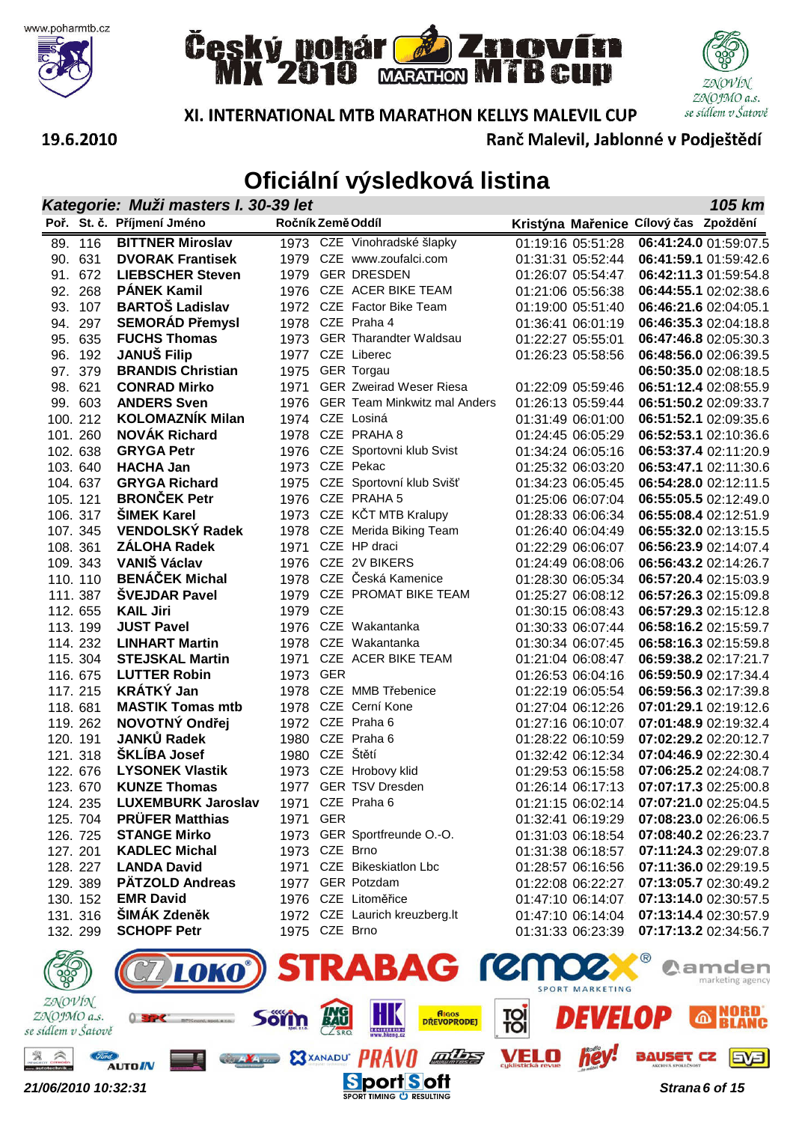







Ranč Malevil, Jablonné v Podještědí

#### 19.6.2010

|               | Kategorie: Muži masters I. 30-39 let<br>105 km |                                       |                   |     |                                   |  |                                        |                                       |                                                |  |
|---------------|------------------------------------------------|---------------------------------------|-------------------|-----|-----------------------------------|--|----------------------------------------|---------------------------------------|------------------------------------------------|--|
|               |                                                | Poř. St. č. Příjmení Jméno            | Ročník Země Oddíl |     |                                   |  |                                        | Kristýna Mařenice Cílový čas Zpoždění |                                                |  |
|               | 89. 116                                        | <b>BITTNER Miroslav</b>               |                   |     | 1973 CZE Vinohradské šlapky       |  | 01:19:16 05:51:28                      |                                       | 06:41:24.0 01:59:07.5                          |  |
| 90.           | 631                                            | <b>DVORAK Frantisek</b>               |                   |     | 1979 CZE www.zoufalci.com         |  | 01:31:31 05:52:44                      |                                       | 06:41:59.1 01:59:42.6                          |  |
| 91.           | 672                                            | <b>LIEBSCHER Steven</b>               |                   |     | 1979 GER DRESDEN                  |  | 01:26:07 05:54:47                      |                                       | 06:42:11.3 01:59:54.8                          |  |
| 92.           | 268                                            | <b>PÁNEK Kamil</b>                    |                   |     | 1976 CZE ACER BIKE TEAM           |  | 01:21:06 05:56:38                      |                                       | 06:44:55.1 02:02:38.6                          |  |
| 93.           | 107                                            | <b>BARTOŠ Ladislav</b>                |                   |     | 1972 CZE Factor Bike Team         |  | 01:19:00 05:51:40                      |                                       | 06:46:21.6 02:04:05.1                          |  |
| 94.           | 297                                            | <b>SEMORÁD Přemysl</b>                |                   |     | 1978 CZE Praha 4                  |  | 01:36:41 06:01:19                      |                                       | 06:46:35.3 02:04:18.8                          |  |
| 95.           | 635                                            | <b>FUCHS Thomas</b>                   |                   |     | 1973 GER Tharandter Waldsau       |  | 01:22:27 05:55:01                      |                                       | 06:47:46.8 02:05:30.3                          |  |
| 96.           | 192                                            | <b>JANUŠ Filip</b>                    |                   |     | 1977 CZE Liberec                  |  | 01:26:23 05:58:56                      |                                       | 06:48:56.0 02:06:39.5                          |  |
| 97.           | 379                                            | <b>BRANDIS Christian</b>              |                   |     | 1975 GER Torgau                   |  |                                        |                                       | 06:50:35.0 02:08:18.5                          |  |
|               | 98. 621                                        | <b>CONRAD Mirko</b>                   | 1971              |     | <b>GER Zweirad Weser Riesa</b>    |  | 01:22:09 05:59:46                      |                                       | 06:51:12.4 02:08:55.9                          |  |
|               | 99. 603                                        | <b>ANDERS Sven</b>                    |                   |     | 1976 GER Team Minkwitz mal Anders |  | 01:26:13 05:59:44                      |                                       | 06:51:50.2 02:09:33.7                          |  |
|               | 100.212                                        | <b>KOLOMAZNÍK Milan</b>               |                   |     | 1974 CZE Losiná                   |  | 01:31:49 06:01:00                      |                                       | 06:51:52.1 02:09:35.6                          |  |
|               | 101.260                                        | <b>NOVAK Richard</b>                  |                   |     | 1978 CZE PRAHA 8                  |  | 01:24:45 06:05:29                      |                                       | 06:52:53.1 02:10:36.6                          |  |
|               | 102. 638                                       | <b>GRYGA Petr</b>                     |                   |     | 1976 CZE Sportovni klub Svist     |  | 01:34:24 06:05:16                      |                                       | 06:53:37.4 02:11:20.9                          |  |
|               | 103.640                                        | <b>HACHA Jan</b>                      |                   |     | 1973 CZE Pekac                    |  | 01:25:32 06:03:20                      |                                       | 06:53:47.1 02:11:30.6                          |  |
|               | 104.637                                        | <b>GRYGA Richard</b>                  |                   |     | 1975 CZE Sportovní klub Svišť     |  | 01:34:23 06:05:45                      |                                       | 06:54:28.0 02:12:11.5                          |  |
|               | 105. 121                                       | <b>BRONČEK Petr</b>                   |                   |     | 1976 CZE PRAHA 5                  |  | 01:25:06 06:07:04                      |                                       | 06:55:05.5 02:12:49.0                          |  |
|               | 106. 317                                       | <b>SIMEK Karel</b>                    |                   |     | 1973 CZE KČT MTB Kralupy          |  | 01:28:33 06:06:34                      |                                       | 06:55:08.4 02:12:51.9                          |  |
|               | 107. 345                                       | <b>VENDOLSKÝ Radek</b>                |                   |     | 1978 CZE Merida Biking Team       |  | 01:26:40 06:04:49                      |                                       | 06:55:32.0 02:13:15.5                          |  |
|               | 108. 361                                       | <b>ZÁLOHA Radek</b>                   | 1971              |     | CZE HP draci                      |  | 01:22:29 06:06:07                      |                                       | 06:56:23.9 02:14:07.4                          |  |
|               | 109. 343                                       | <b>VANIŠ Václav</b>                   |                   |     | 1976 CZE 2V BIKERS                |  | 01:24:49 06:08:06                      |                                       | 06:56:43.2 02:14:26.7                          |  |
|               | 110.110                                        | <b>BENÁČEK Michal</b>                 |                   |     | 1978 CZE Česká Kamenice           |  | 01:28:30 06:05:34                      |                                       | 06:57:20.4 02:15:03.9                          |  |
|               | 111.387                                        | <b>SVEJDAR Pavel</b>                  |                   |     | 1979 CZE PROMAT BIKE TEAM         |  | 01:25:27 06:08:12                      |                                       | 06:57:26.3 02:15:09.8                          |  |
|               | 112. 655                                       | <b>KAIL Jiri</b><br><b>JUST Pavel</b> | 1979 CZE          |     | 1976 CZE Wakantanka               |  | 01:30:15 06:08:43                      |                                       | 06:57:29.3 02:15:12.8                          |  |
|               | 113.199                                        | <b>LINHART Martin</b>                 |                   |     | 1978 CZE Wakantanka               |  | 01:30:33 06:07:44                      |                                       | 06:58:16.2 02:15:59.7                          |  |
|               | 114.232                                        | <b>STEJSKAL Martin</b>                |                   |     | CZE ACER BIKE TEAM                |  | 01:30:34 06:07:45                      |                                       | 06:58:16.3 02:15:59.8<br>06:59:38.2 02:17:21.7 |  |
|               | 115. 304<br>116. 675                           | <b>LUTTER Robin</b>                   | 1971<br>1973 GER  |     |                                   |  | 01:21:04 06:08:47<br>01:26:53 06:04:16 |                                       | 06:59:50.9 02:17:34.4                          |  |
|               | 117.215                                        | <b>KRÁTKÝ Jan</b>                     |                   |     | 1978 CZE MMB Třebenice            |  | 01:22:19 06:05:54                      |                                       | 06:59:56.3 02:17:39.8                          |  |
|               | 118.681                                        | <b>MASTIK Tomas mtb</b>               |                   |     | 1978 CZE Cerní Kone               |  | 01:27:04 06:12:26                      |                                       | 07:01:29.1 02:19:12.6                          |  |
|               | 119.262                                        | NOVOTNÝ Ondřej                        |                   |     | 1972 CZE Praha 6                  |  | 01:27:16 06:10:07                      |                                       | 07:01:48.9 02:19:32.4                          |  |
|               | 120. 191                                       | JANKŮ Radek                           |                   |     | 1980 CZE Praha 6                  |  | 01:28:22 06:10:59                      |                                       | 07:02:29.2 02:20:12.7                          |  |
|               | 121. 318                                       | <b>ŠKLÍBA Josef</b>                   | 1980 CZE Štětí    |     |                                   |  | 01:32:42 06:12:34                      |                                       | 07:04:46.9 02:22:30.4                          |  |
|               | 122. 676                                       | <b>LYSONEK Vlastik</b>                |                   |     | 1973 CZE Hrobovy klid             |  | 01:29:53 06:15:58                      |                                       | 07:06:25.2 02:24:08.7                          |  |
|               | 123.670                                        | <b>KUNZE Thomas</b>                   |                   |     | 1977 GER TSV Dresden              |  | 01:26:14 06:17:13                      |                                       | 07:07:17.3 02:25:00.8                          |  |
|               | 124.235                                        | <b>LUXEMBURK Jaroslav</b>             |                   |     | 1971 CZE Praha 6                  |  | 01:21:15 06:02:14                      |                                       | 07:07:21.0 02:25:04.5                          |  |
|               | 125. 704                                       | <b>PRÜFER Matthias</b>                | 1971              | GER |                                   |  | 01:32:41 06:19:29                      |                                       | 07:08:23.0 02:26:06.5                          |  |
|               | 126. 725                                       | <b>STANGE Mirko</b>                   |                   |     | 1973 GER Sportfreunde O.-O.       |  | 01:31:03 06:18:54                      |                                       | 07:08:40.2 02:26:23.7                          |  |
|               | 127. 201                                       | <b>KADLEC Michal</b>                  | 1973 CZE Brno     |     |                                   |  | 01:31:38 06:18:57                      |                                       | 07:11:24.3 02:29:07.8                          |  |
|               | 128. 227                                       | <b>LANDA David</b>                    |                   |     | 1971 CZE Bikeskiatlon Lbc         |  | 01:28:57 06:16:56                      |                                       | 07:11:36.0 02:29:19.5                          |  |
|               | 129. 389                                       | <b>PÄTZOLD Andreas</b>                |                   |     | 1977 GER Potzdam                  |  | 01:22:08 06:22:27                      |                                       | 07:13:05.7 02:30:49.2                          |  |
|               | 130. 152                                       | <b>EMR David</b>                      |                   |     | 1976 CZE Litoměřice               |  | 01:47:10 06:14:07                      |                                       | 07:13:14.0 02:30:57.5                          |  |
|               | 131. 316                                       | <b>ŠIMÁK Zdeněk</b>                   |                   |     | 1972 CZE Laurich kreuzberg.lt     |  | 01:47:10 06:14:04                      |                                       | 07:13:14.4 02:30:57.9                          |  |
|               | 132. 299                                       | <b>SCHOPF Petr</b>                    | 1975 CZE Brno     |     |                                   |  | 01:31:33 06:23:39                      |                                       | 07:17:13.2 02:34:56.7                          |  |
| $\mathscr{D}$ |                                                |                                       |                   |     | <b>CIBABAC COMMONS</b>            |  |                                        |                                       |                                                |  |

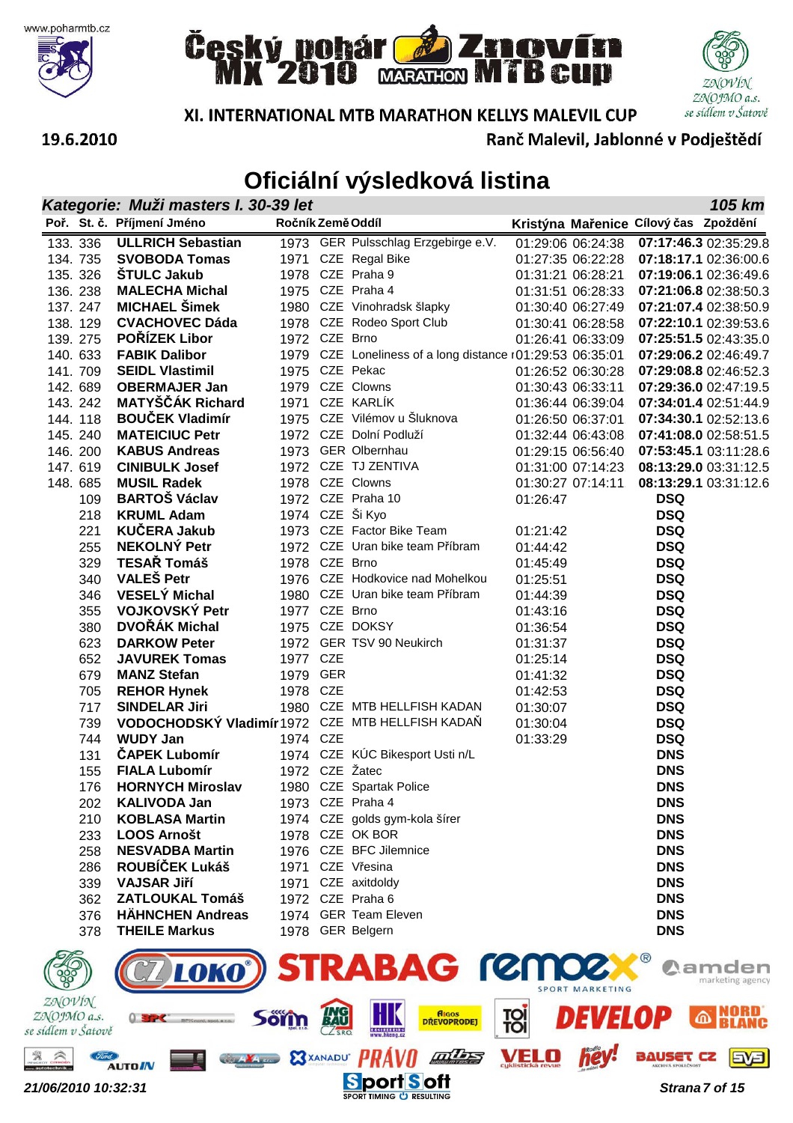







**105 km**

**XI. INTERNATIONAL MTB MARATHON KELLYS MALEVIL CUP** 

Ranč Malevil, Jablonné v Podieštědí

# **Oficiální výsledková listina**

**Kategorie: Muži masters I. 30-39 let**

| 133. 336 | <b>ULLRICH Sebastian</b> |                                                                                                                                                                                                                                                                                                                |                                                      |                                                                                                                                                                                                                                                                                                                                                                                                                       |                                                                                                                                                                                                                                                                                                                                                                                                                                   | 07:17:46.3 02:35:29.8                                                        |
|----------|--------------------------|----------------------------------------------------------------------------------------------------------------------------------------------------------------------------------------------------------------------------------------------------------------------------------------------------------------|------------------------------------------------------|-----------------------------------------------------------------------------------------------------------------------------------------------------------------------------------------------------------------------------------------------------------------------------------------------------------------------------------------------------------------------------------------------------------------------|-----------------------------------------------------------------------------------------------------------------------------------------------------------------------------------------------------------------------------------------------------------------------------------------------------------------------------------------------------------------------------------------------------------------------------------|------------------------------------------------------------------------------|
| 134.735  | <b>SVOBODA Tomas</b>     | 1971                                                                                                                                                                                                                                                                                                           |                                                      |                                                                                                                                                                                                                                                                                                                                                                                                                       |                                                                                                                                                                                                                                                                                                                                                                                                                                   | 07:18:17.1 02:36:00.6                                                        |
| 135. 326 | <b>STULC Jakub</b>       | 1978                                                                                                                                                                                                                                                                                                           |                                                      |                                                                                                                                                                                                                                                                                                                                                                                                                       |                                                                                                                                                                                                                                                                                                                                                                                                                                   | 07:19:06.1 02:36:49.6                                                        |
| 136.238  | <b>MALECHA Michal</b>    | 1975                                                                                                                                                                                                                                                                                                           |                                                      |                                                                                                                                                                                                                                                                                                                                                                                                                       |                                                                                                                                                                                                                                                                                                                                                                                                                                   | 07:21:06.8 02:38:50.3                                                        |
| 137.247  |                          |                                                                                                                                                                                                                                                                                                                |                                                      |                                                                                                                                                                                                                                                                                                                                                                                                                       |                                                                                                                                                                                                                                                                                                                                                                                                                                   | 07:21:07.4 02:38:50.9                                                        |
| 138.129  |                          |                                                                                                                                                                                                                                                                                                                |                                                      |                                                                                                                                                                                                                                                                                                                                                                                                                       |                                                                                                                                                                                                                                                                                                                                                                                                                                   | 07:22:10.1 02:39:53.6                                                        |
| 139.275  |                          |                                                                                                                                                                                                                                                                                                                |                                                      |                                                                                                                                                                                                                                                                                                                                                                                                                       |                                                                                                                                                                                                                                                                                                                                                                                                                                   | 07:25:51.5 02:43:35.0                                                        |
| 140. 633 | <b>FABIK Dalibor</b>     | 1979                                                                                                                                                                                                                                                                                                           |                                                      |                                                                                                                                                                                                                                                                                                                                                                                                                       |                                                                                                                                                                                                                                                                                                                                                                                                                                   | 07:29:06.2 02:46:49.7                                                        |
| 141. 709 |                          | 1975                                                                                                                                                                                                                                                                                                           |                                                      |                                                                                                                                                                                                                                                                                                                                                                                                                       |                                                                                                                                                                                                                                                                                                                                                                                                                                   | 07:29:08.8 02:46:52.3                                                        |
| 142. 689 | <b>OBERMAJER Jan</b>     | 1979                                                                                                                                                                                                                                                                                                           |                                                      |                                                                                                                                                                                                                                                                                                                                                                                                                       |                                                                                                                                                                                                                                                                                                                                                                                                                                   | 07:29:36.0 02:47:19.5                                                        |
| 143. 242 |                          | 1971                                                                                                                                                                                                                                                                                                           |                                                      |                                                                                                                                                                                                                                                                                                                                                                                                                       |                                                                                                                                                                                                                                                                                                                                                                                                                                   | 07:34:01.4 02:51:44.9                                                        |
| 144.118  |                          | 1975                                                                                                                                                                                                                                                                                                           |                                                      |                                                                                                                                                                                                                                                                                                                                                                                                                       |                                                                                                                                                                                                                                                                                                                                                                                                                                   | 07:34:30.1 02:52:13.6                                                        |
| 145.240  |                          | 1972                                                                                                                                                                                                                                                                                                           |                                                      |                                                                                                                                                                                                                                                                                                                                                                                                                       |                                                                                                                                                                                                                                                                                                                                                                                                                                   | 07:41:08.0 02:58:51.5                                                        |
| 146. 200 | <b>KABUS Andreas</b>     | 1973                                                                                                                                                                                                                                                                                                           |                                                      |                                                                                                                                                                                                                                                                                                                                                                                                                       |                                                                                                                                                                                                                                                                                                                                                                                                                                   |                                                                              |
| 147.619  | <b>CINIBULK Josef</b>    | 1972                                                                                                                                                                                                                                                                                                           |                                                      |                                                                                                                                                                                                                                                                                                                                                                                                                       |                                                                                                                                                                                                                                                                                                                                                                                                                                   | 08:13:29.0 03:31:12.5                                                        |
| 148.685  | <b>MUSIL Radek</b>       | 1978                                                                                                                                                                                                                                                                                                           |                                                      |                                                                                                                                                                                                                                                                                                                                                                                                                       |                                                                                                                                                                                                                                                                                                                                                                                                                                   | 08:13:29.1 03:31:12.6                                                        |
| 109      |                          |                                                                                                                                                                                                                                                                                                                |                                                      |                                                                                                                                                                                                                                                                                                                                                                                                                       |                                                                                                                                                                                                                                                                                                                                                                                                                                   |                                                                              |
| 218      |                          |                                                                                                                                                                                                                                                                                                                |                                                      |                                                                                                                                                                                                                                                                                                                                                                                                                       | <b>DSQ</b>                                                                                                                                                                                                                                                                                                                                                                                                                        |                                                                              |
| 221      |                          | 1973                                                                                                                                                                                                                                                                                                           |                                                      |                                                                                                                                                                                                                                                                                                                                                                                                                       | <b>DSQ</b>                                                                                                                                                                                                                                                                                                                                                                                                                        |                                                                              |
| 255      |                          |                                                                                                                                                                                                                                                                                                                |                                                      |                                                                                                                                                                                                                                                                                                                                                                                                                       | <b>DSQ</b>                                                                                                                                                                                                                                                                                                                                                                                                                        |                                                                              |
| 329      |                          |                                                                                                                                                                                                                                                                                                                |                                                      |                                                                                                                                                                                                                                                                                                                                                                                                                       | <b>DSQ</b>                                                                                                                                                                                                                                                                                                                                                                                                                        |                                                                              |
|          |                          | Poř. St. č. Příjmení Jméno<br><b>MICHAEL Šimek</b><br><b>CVACHOVEC Dáda</b><br>POŘÍZEK Libor<br><b>SEIDL Vlastimil</b><br><b>MATYŠČÁK Richard</b><br><b>BOUČEK Vladimír</b><br><b>MATEICIUC Petr</b><br><b>BARTOS Václav</b><br><b>KRUML Adam</b><br><b>KUČERA Jakub</b><br><b>NEKOLNÝ Petr</b><br>TESAŘ Tomáš | 1973<br>1980<br>1978<br>1972<br>1972<br>1974<br>1972 | Ročník Země Oddíl<br>GER Pulsschlag Erzgebirge e.V.<br>CZE Regal Bike<br>CZE Praha 9<br>CZE Praha 4<br>CZE Vinohradsk šlapky<br>CZE Rodeo Sport Club<br>CZE Brno<br>CZE Pekac<br>CZE Clowns<br>CZE KARLÍK<br>CZE Vilémov u Šluknova<br>CZE Dolní Podluží<br><b>GER Olbernhau</b><br>CZE TJ ZENTIVA<br>CZE Clowns<br>CZE Praha 10<br>CZE Ši Kyo<br>CZE Factor Bike Team<br>CZE Uran bike team Příbram<br>1978 CZE Brno | 01:29:06 06:24:38<br>01:27:35 06:22:28<br>01:31:21 06:28:21<br>01:31:51 06:28:33<br>01:30:40 06:27:49<br>01:30:41 06:28:58<br>01:26:41 06:33:09<br>CZE Loneliness of a long distance $r01:29:53$ 06:35:01<br>01:26:52 06:30:28<br>01:30:43 06:33:11<br>01:36:44 06:39:04<br>01:26:50 06:37:01<br>01:32:44 06:43:08<br>01:29:15 06:56:40<br>01:31:00 07:14:23<br>01:30:27 07:14:11<br>01:26:47<br>01:21:42<br>01:44:42<br>01:45:49 | Kristýna Mařenice Cílový čas Zpoždění<br>07:53:45.1 03:11:28.6<br><b>DSQ</b> |

| 146. ZUU | KABUS ANDREAS                                    |               | 1973 GER Olbernnau              |                   |                                             |
|----------|--------------------------------------------------|---------------|---------------------------------|-------------------|---------------------------------------------|
| 147.619  | <b>CINIBULK Josef</b>                            |               | 1972 CZE TJ ZENTIVA             |                   | 01:31:00 07:14:23   08:13:29.0   03:31:12.5 |
| 148. 685 | <b>MUSIL Radek</b>                               |               | 1978 CZE Clowns                 | 01:30:27 07:14:11 | 08:13:29.1 03:31:12.6                       |
| 109      | <b>BARTOŠ Václav</b>                             |               | 1972 CZE Praha 10               | 01:26:47          | <b>DSQ</b>                                  |
| 218      | <b>KRUML Adam</b>                                |               | 1974 CZE Ši Kyo                 |                   | <b>DSQ</b>                                  |
| 221      | <b>KUČERA Jakub</b>                              |               | 1973 CZE Factor Bike Team       | 01:21:42          | <b>DSQ</b>                                  |
| 255      | <b>NEKOLNÝ Petr</b>                              |               | 1972 CZE Uran bike team Příbram | 01:44:42          | <b>DSQ</b>                                  |
| 329      | TESAŘ Tomáš                                      | 1978 CZE Brno |                                 | 01:45:49          | <b>DSQ</b>                                  |
| 340      | <b>VALEŠ Petr</b>                                |               | 1976 CZE Hodkovice nad Mohelkou | 01:25:51          | <b>DSQ</b>                                  |
| 346      | <b>VESELÝ Michal</b>                             |               | 1980 CZE Uran bike team Příbram | 01:44:39          | <b>DSQ</b>                                  |
| 355      | VOJKOVSKÝ Petr                                   | 1977 CZE Brno |                                 | 01:43:16          | <b>DSQ</b>                                  |
| 380      | DVOŘÁK Michal                                    |               | 1975 CZE DOKSY                  | 01:36:54          | <b>DSQ</b>                                  |
| 623      | <b>DARKOW Peter</b>                              |               | 1972 GER TSV 90 Neukirch        | 01:31:37          | <b>DSQ</b>                                  |
| 652      | <b>JAVUREK Tomas</b>                             | 1977 CZE      |                                 | 01:25:14          | <b>DSQ</b>                                  |
| 679      | <b>MANZ Stefan</b>                               | 1979 GER      |                                 | 01:41:32          | <b>DSQ</b>                                  |
| 705      | <b>REHOR Hynek</b>                               | 1978 CZE      |                                 | 01:42:53          | <b>DSQ</b>                                  |
| 717      | <b>SINDELAR Jiri</b>                             |               | 1980 CZE MTB HELLFISH KADAN     | 01:30:07          | <b>DSQ</b>                                  |
| 739      | VODOCHODSKÝ Vladimír 1972 CZE MTB HELLFISH KADAŇ |               |                                 | 01:30:04          | <b>DSQ</b>                                  |
| 744      | <b>WUDY Jan</b>                                  | 1974 CZE      |                                 | 01:33:29          | <b>DSQ</b>                                  |
| 131      | <b>ČAPEK Lubomír</b>                             |               | 1974 CZE KÚC Bikesport Usti n/L |                   | <b>DNS</b>                                  |
| 155      | <b>FIALA Lubomír</b>                             |               | 1972 CZE Žatec                  |                   | <b>DNS</b>                                  |
| 176      | <b>HORNYCH Miroslav</b>                          |               | 1980 CZE Spartak Police         |                   | <b>DNS</b>                                  |
| 202      | <b>KALIVODA Jan</b>                              |               | 1973 CZE Praha 4                |                   | <b>DNS</b>                                  |
| 210      | <b>KOBLASA Martin</b>                            |               | 1974 CZE golds gym-kola šírer   |                   | <b>DNS</b>                                  |
| 233      | <b>LOOS Arnošt</b>                               |               | 1978 CZE OK BOR                 |                   | <b>DNS</b>                                  |
| 258      | <b>NESVADBA Martin</b>                           |               | 1976 CZE BFC Jilemnice          |                   | <b>DNS</b>                                  |
| 286      | ROUBÍČEK Lukáš                                   |               | 1971 CZE Vřesina                |                   | <b>DNS</b>                                  |
| 339      | <b>VAJSAR Jiří</b>                               |               | 1971 CZE axitdoldy              |                   | <b>DNS</b>                                  |
| 362      | <b>ZATLOUKAL Tomáš</b>                           |               | 1972 CZE Praha 6                |                   | <b>DNS</b>                                  |
| 376      | <b>HÄHNCHEN Andreas</b>                          |               | 1974 GER Team Eleven            |                   | <b>DNS</b>                                  |
| 378      | <b>THEILE Markus</b>                             |               | 1978 GER Belgern                |                   | <b>DNS</b>                                  |
|          |                                                  |               |                                 |                   |                                             |

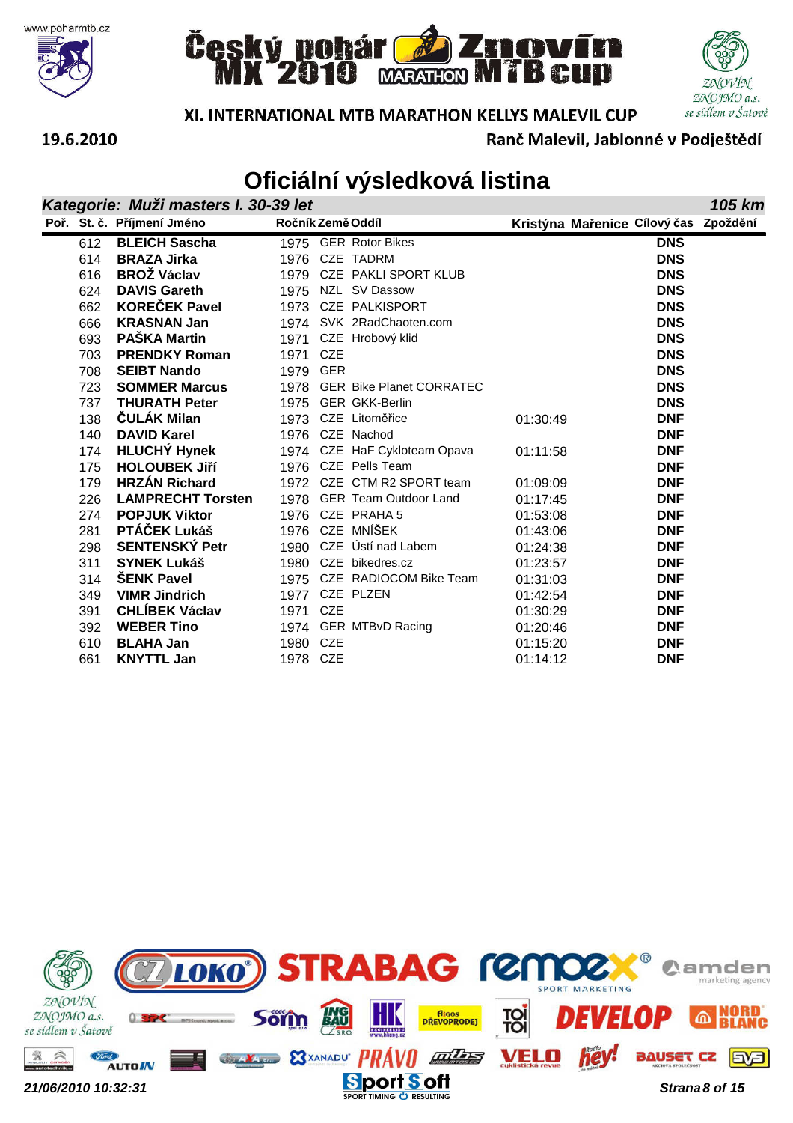







XI. INTERNATIONAL MTB MARATHON KELLYS MALEVIL CUP

Ranč Malevil, Jablonné v Podještědí

|     | Kategorie: Muži masters I. 30-39 let |                   |                               |          |                                       |            | 105 km |
|-----|--------------------------------------|-------------------|-------------------------------|----------|---------------------------------------|------------|--------|
|     | Poř. St. č. Příjmení Jméno           | Ročník Země Oddíl |                               |          | Kristýna Mařenice Cílový čas Zpoždění |            |        |
| 612 | <b>BLEICH Sascha</b>                 |                   | 1975 GER Rotor Bikes          |          |                                       | <b>DNS</b> |        |
| 614 | <b>BRAZA Jirka</b>                   |                   | 1976 CZE TADRM                |          |                                       | <b>DNS</b> |        |
| 616 | <b>BROŽ Václav</b>                   |                   | 1979 CZE PAKLI SPORT KLUB     |          |                                       | <b>DNS</b> |        |
| 624 | <b>DAVIS Gareth</b>                  |                   | 1975 NZL SV Dassow            |          |                                       | <b>DNS</b> |        |
| 662 | <b>KOREČEK Pavel</b>                 |                   | 1973 CZE PALKISPORT           |          |                                       | <b>DNS</b> |        |
| 666 | <b>KRASNAN Jan</b>                   |                   | 1974 SVK 2RadChaoten.com      |          |                                       | <b>DNS</b> |        |
| 693 | <b>PAŠKA Martin</b>                  |                   | 1971 CZE Hrobový klid         |          |                                       | <b>DNS</b> |        |
| 703 | <b>PRENDKY Roman</b>                 | 1971 CZE          |                               |          |                                       | <b>DNS</b> |        |
| 708 | <b>SEIBT Nando</b>                   | 1979 GER          |                               |          |                                       | <b>DNS</b> |        |
| 723 | <b>SOMMER Marcus</b>                 |                   | 1978 GER Bike Planet CORRATEC |          |                                       | <b>DNS</b> |        |
| 737 | <b>THURATH Peter</b>                 |                   | 1975 GER GKK-Berlin           |          |                                       | <b>DNS</b> |        |
| 138 | ČULÁK Milan                          |                   | 1973 CZE Litoměřice           | 01:30:49 |                                       | <b>DNF</b> |        |
| 140 | <b>DAVID Karel</b>                   |                   | 1976 CZE Nachod               |          |                                       | <b>DNF</b> |        |
| 174 | <b>HLUCHY Hynek</b>                  |                   | 1974 CZE HaF Cykloteam Opava  | 01:11:58 |                                       | <b>DNF</b> |        |
| 175 | <b>HOLOUBEK JIří</b>                 |                   | 1976 CZE Pells Team           |          |                                       | <b>DNF</b> |        |
| 179 | <b>HRZÁN Richard</b>                 |                   | 1972 CZE CTM R2 SPORT team    | 01:09:09 |                                       | <b>DNF</b> |        |
| 226 | <b>LAMPRECHT Torsten</b>             |                   | 1978 GER Team Outdoor Land    | 01:17:45 |                                       | <b>DNF</b> |        |
| 274 | <b>POPJUK Viktor</b>                 |                   | 1976 CZE PRAHA 5              | 01:53:08 |                                       | <b>DNF</b> |        |
| 281 | PTÁČEK Lukáš                         |                   | 1976 CZE MNÍŠEK               | 01:43:06 |                                       | <b>DNF</b> |        |
| 298 | <b>SENTENSKÝ Petr</b>                |                   | 1980 CZE Ústí nad Labem       | 01:24:38 |                                       | <b>DNF</b> |        |
| 311 | <b>SYNEK Lukáš</b>                   | 1980              | CZE bikedres.cz               | 01:23:57 |                                       | <b>DNF</b> |        |
| 314 | <b>ŠENK Pavel</b>                    |                   | 1975 CZE RADIOCOM Bike Team   | 01:31:03 |                                       | <b>DNF</b> |        |
| 349 | <b>VIMR Jindrich</b>                 | 1977              | CZE PLZEN                     | 01:42:54 |                                       | <b>DNF</b> |        |
| 391 | <b>CHLÍBEK Václav</b>                | 1971 CZE          |                               | 01:30:29 |                                       | <b>DNF</b> |        |
| 392 | <b>WEBER Tino</b>                    |                   | 1974 GER MTBvD Racing         | 01:20:46 |                                       | <b>DNF</b> |        |
| 610 | <b>BLAHA Jan</b>                     | 1980 CZE          |                               | 01:15:20 |                                       | <b>DNF</b> |        |
| 661 | <b>KNYTTL Jan</b>                    | 1978 CZE          |                               | 01:14:12 |                                       | <b>DNF</b> |        |

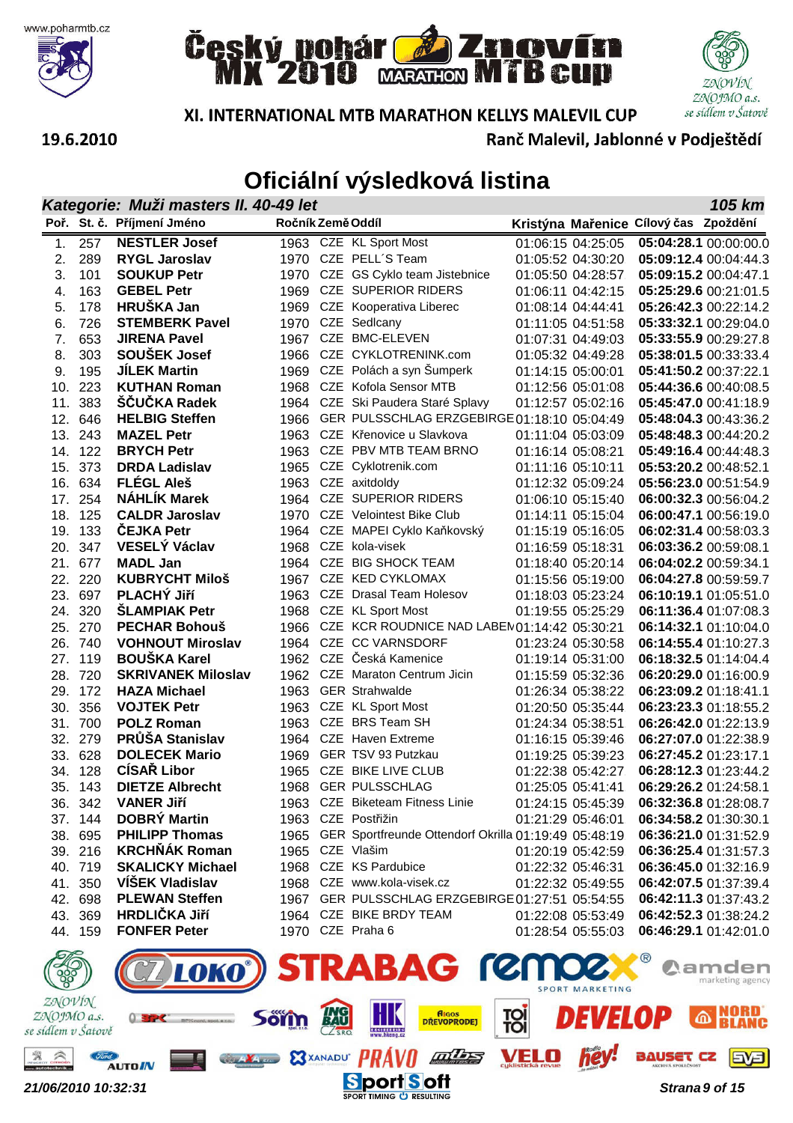







Ranč Malevil, Jablonné v Podještědí

#### 19.6.2010

|     | Kategorie: Muži masters II. 40-49 let<br>105 km |                                            |                   |  |                                                                             |  |                   |                                       |                                                |  |
|-----|-------------------------------------------------|--------------------------------------------|-------------------|--|-----------------------------------------------------------------------------|--|-------------------|---------------------------------------|------------------------------------------------|--|
|     |                                                 | Poř. St. č. Příjmení Jméno                 | Ročník Země Oddíl |  |                                                                             |  |                   | Kristýna Mařenice Cílový čas Zpoždění |                                                |  |
| 1.  | 257                                             | <b>NESTLER Josef</b>                       |                   |  | 1963 CZE KL Sport Most                                                      |  | 01:06:15 04:25:05 |                                       | 05:04:28.1 00:00:00.0                          |  |
| 2.  | 289                                             | <b>RYGL Jaroslav</b>                       | 1970              |  | CZE PELL'S Team                                                             |  | 01:05:52 04:30:20 |                                       | 05:09:12.4 00:04:44.3                          |  |
| 3.  | 101                                             | <b>SOUKUP Petr</b>                         | 1970              |  | CZE GS Cyklo team Jistebnice                                                |  | 01:05:50 04:28:57 |                                       | 05:09:15.2 00:04:47.1                          |  |
| 4.  | 163                                             | <b>GEBEL Petr</b>                          | 1969              |  | CZE SUPERIOR RIDERS                                                         |  | 01:06:11 04:42:15 |                                       | 05:25:29.6 00:21:01.5                          |  |
| 5.  | 178                                             | <b>HRUŠKA Jan</b>                          | 1969              |  | CZE Kooperativa Liberec                                                     |  | 01:08:14 04:44:41 |                                       | 05:26:42.3 00:22:14.2                          |  |
| 6.  | 726                                             | <b>STEMBERK Pavel</b>                      | 1970              |  | CZE Sedlcany                                                                |  | 01:11:05 04:51:58 |                                       | 05:33:32.1 00:29:04.0                          |  |
| 7.  | 653                                             | <b>JIRENA Pavel</b>                        | 1967              |  | CZE BMC-ELEVEN                                                              |  | 01:07:31 04:49:03 |                                       | 05:33:55.9 00:29:27.8                          |  |
| 8.  | 303                                             | <b>SOUŠEK Josef</b>                        | 1966              |  | CZE CYKLOTRENINK.com                                                        |  | 01:05:32 04:49:28 |                                       | 05:38:01.5 00:33:33.4                          |  |
| 9.  | 195                                             | <b>JİLEK Martin</b>                        | 1969              |  | CZE Polách a syn Šumperk                                                    |  | 01:14:15 05:00:01 |                                       | 05:41:50.2 00:37:22.1                          |  |
| 10. | 223                                             | <b>KUTHAN Roman</b>                        | 1968              |  | CZE Kofola Sensor MTB                                                       |  | 01:12:56 05:01:08 |                                       | 05:44:36.6 00:40:08.5                          |  |
| 11. | 383                                             | <b>SCUCKA Radek</b>                        | 1964              |  | CZE Ski Paudera Staré Splavy                                                |  | 01:12:57 05:02:16 |                                       | 05:45:47.0 00:41:18.9                          |  |
| 12. | 646                                             | <b>HELBIG Steffen</b>                      | 1966              |  | GER PULSSCHLAG ERZGEBIRGE 01:18:10 05:04:49                                 |  |                   |                                       | 05:48:04.3 00:43:36.2                          |  |
| 13. | 243                                             | <b>MAZEL Petr</b>                          | 1963              |  | CZE Křenovice u Slavkova                                                    |  | 01:11:04 05:03:09 |                                       | 05:48:48.3 00:44:20.2                          |  |
| 14. | 122                                             | <b>BRYCH Petr</b>                          | 1963              |  | CZE PBV MTB TEAM BRNO                                                       |  | 01:16:14 05:08:21 |                                       | 05:49:16.4 00:44:48.3                          |  |
| 15. | 373                                             | <b>DRDA Ladislav</b>                       | 1965              |  | CZE Cyklotrenik.com                                                         |  | 01:11:16 05:10:11 |                                       | 05:53:20.2 00:48:52.1                          |  |
| 16. | 634                                             | <b>FLÉGL Aleš</b>                          | 1963              |  | CZE axitdoldy                                                               |  | 01:12:32 05:09:24 |                                       | 05:56:23.0 00:51:54.9                          |  |
| 17. | 254                                             | <b>NÁHLÍK Marek</b>                        | 1964              |  | <b>CZE SUPERIOR RIDERS</b>                                                  |  | 01:06:10 05:15:40 |                                       | 06:00:32.3 00:56:04.2                          |  |
| 18. | 125                                             | <b>CALDR Jaroslav</b>                      | 1970              |  | <b>CZE</b> Velointest Bike Club                                             |  | 01:14:11 05:15:04 |                                       | 06:00:47.1 00:56:19.0                          |  |
| 19. | 133                                             | ČEJKA Petr                                 | 1964              |  | CZE MAPEI Cyklo Kaňkovský                                                   |  | 01:15:19 05:16:05 |                                       | 06:02:31.4 00:58:03.3                          |  |
| 20. | 347                                             | <b>VESELÝ Václav</b>                       | 1968              |  | CZE kola-visek                                                              |  | 01:16:59 05:18:31 |                                       | 06:03:36.2 00:59:08.1                          |  |
| 21. | 677                                             | <b>MADL Jan</b>                            | 1964              |  | CZE BIG SHOCK TEAM                                                          |  | 01:18:40 05:20:14 |                                       | 06:04:02.2 00:59:34.1                          |  |
| 22. | 220                                             | <b>KUBRYCHT Miloš</b>                      | 1967              |  | CZE KED CYKLOMAX                                                            |  | 01:15:56 05:19:00 |                                       | 06:04:27.8 00:59:59.7                          |  |
| 23. | 697                                             | PLACHÝ Jiří                                | 1963              |  | CZE Drasal Team Holesov                                                     |  | 01:18:03 05:23:24 |                                       | 06:10:19.1 01:05:51.0                          |  |
| 24. | 320                                             | <b>SLAMPIAK Petr</b>                       | 1968              |  | CZE KL Sport Most                                                           |  | 01:19:55 05:25:29 |                                       | 06:11:36.4 01:07:08.3                          |  |
| 25. | 270                                             | <b>PECHAR Bohouš</b>                       | 1966              |  | CZE KCR ROUDNICE NAD LABEN01:14:42 05:30:21                                 |  |                   |                                       | 06:14:32.1 01:10:04.0                          |  |
| 26. | 740                                             | <b>VOHNOUT Miroslav</b>                    | 1964              |  | CZE CC VARNSDORF                                                            |  | 01:23:24 05:30:58 |                                       | 06:14:55.4 01:10:27.3                          |  |
| 27. | 119                                             | <b>BOUŠKA Karel</b>                        | 1962              |  | CZE Česká Kamenice                                                          |  | 01:19:14 05:31:00 |                                       | 06:18:32.5 01:14:04.4                          |  |
| 28. | 720                                             | <b>SKRIVANEK Miloslav</b>                  | 1962              |  | CZE Maraton Centrum Jicin                                                   |  | 01:15:59 05:32:36 |                                       | 06:20:29.0 01:16:00.9                          |  |
| 29. | 172                                             | <b>HAZA Michael</b>                        | 1963              |  | <b>GER Strahwalde</b>                                                       |  | 01:26:34 05:38:22 |                                       | 06:23:09.2 01:18:41.1                          |  |
| 30. | 356                                             | <b>VOJTEK Petr</b>                         | 1963              |  | CZE KL Sport Most                                                           |  | 01:20:50 05:35:44 |                                       | 06:23:23.3 01:18:55.2                          |  |
| 31. | 700                                             | <b>POLZ Roman</b>                          | 1963              |  | CZE BRS Team SH                                                             |  | 01:24:34 05:38:51 |                                       | 06:26:42.0 01:22:13.9                          |  |
| 32. | 279                                             | PRŮŠA Stanislav                            | 1964              |  | <b>CZE</b> Haven Extreme                                                    |  | 01:16:15 05:39:46 |                                       | 06:27:07.0 01:22:38.9                          |  |
| 33. | 628                                             | <b>DOLECEK Mario</b>                       | 1969              |  | GER TSV 93 Putzkau                                                          |  | 01:19:25 05:39:23 |                                       | 06:27:45.2 01:23:17.1                          |  |
| 34. | 128                                             | <b>CÍSAŘ Libor</b>                         | 1965              |  | CZE BIKE LIVE CLUB                                                          |  | 01:22:38 05:42:27 |                                       | 06:28:12.3 01:23:44.2                          |  |
|     | 35. 143                                         | <b>DIETZE Albrecht</b>                     | 1968              |  | <b>GER PULSSCHLAG</b>                                                       |  | 01:25:05 05:41:41 |                                       | 06:29:26.2 01:24:58.1                          |  |
|     | 36. 342                                         | <b>VANER Jiří</b>                          |                   |  | 1963 CZE Biketeam Fitness Linie                                             |  | 01:24:15 05:45:39 |                                       | 06:32:36.8 01:28:08.7                          |  |
|     | 37. 144                                         | <b>DOBRY Martin</b>                        |                   |  | 1963 CZE Postřižin                                                          |  | 01:21:29 05:46:01 |                                       | 06:34:58.2 01:30:30.1                          |  |
|     | 38. 695                                         | <b>PHILIPP Thomas</b>                      |                   |  | 1965 GER Sportfreunde Ottendorf Okrilla 01:19:49 05:48:19                   |  |                   |                                       | 06:36:21.0 01:31:52.9                          |  |
|     | 39. 216                                         | <b>KRCHŇÁK Roman</b>                       |                   |  | 1965 CZE Vlašim                                                             |  | 01:20:19 05:42:59 |                                       | 06:36:25.4 01:31:57.3                          |  |
|     | 40. 719                                         | <b>SKALICKY Michael</b><br>VÍŠEK Vladislav |                   |  | 1968 CZE KS Pardubice                                                       |  | 01:22:32 05:46:31 |                                       | 06:36:45.0 01:32:16.9                          |  |
|     | 41. 350                                         | <b>PLEWAN Steffen</b>                      |                   |  | 1968 CZE www.kola-visek.cz                                                  |  | 01:22:32 05:49:55 |                                       | 06:42:07.5 01:37:39.4                          |  |
|     | 42. 698                                         | <b>HRDLIČKA Jiří</b>                       |                   |  | 1967 GER PULSSCHLAG ERZGEBIRGE 01:27:51 05:54:55<br>1964 CZE BIKE BRDY TEAM |  |                   |                                       | 06:42:11.3 01:37:43.2<br>06:42:52.3 01:38:24.2 |  |
|     | 43. 369                                         | <b>FONFER Peter</b>                        |                   |  | 1970 CZE Praha 6                                                            |  | 01:22:08 05:53:49 |                                       | 06:46:29.1 01:42:01.0                          |  |
|     | 44. 159                                         |                                            |                   |  |                                                                             |  | 01:28:54 05:55:03 |                                       |                                                |  |
| ZÑ  |                                                 |                                            |                   |  | $\sim$ CTD AD AC COMMONS                                                    |  |                   |                                       |                                                |  |

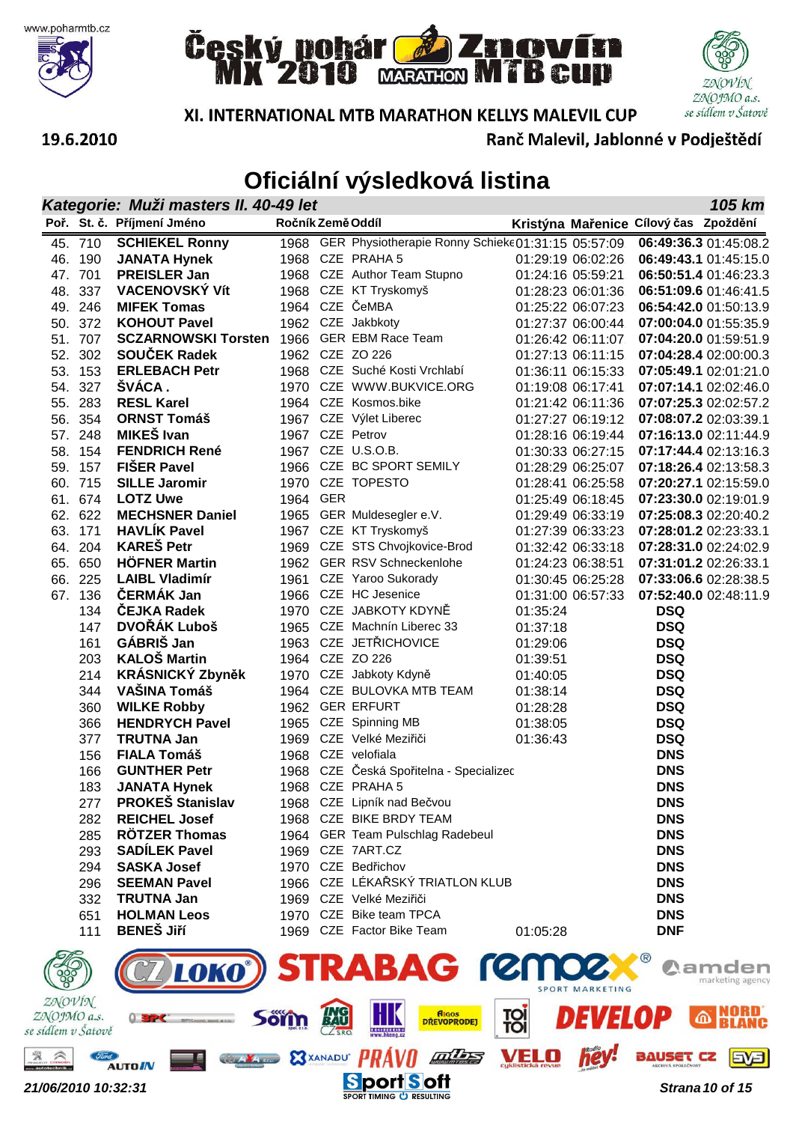







Ranč Malevil, Jablonné v Podještědí

#### 19.6.2010

### **Oficiální výsledková listina**

|                                  | 105 km<br>Kategorie: Muži masters II. 40-49 let |                                         |             |                                                                                  |                                       |            |                           |  |  |
|----------------------------------|-------------------------------------------------|-----------------------------------------|-------------|----------------------------------------------------------------------------------|---------------------------------------|------------|---------------------------|--|--|
|                                  |                                                 | Poř. St. č. Příjmení Jméno              |             | Ročník Země Oddíl                                                                | Kristýna Mařenice Cílový čas Zpoždění |            |                           |  |  |
|                                  | 45. 710                                         | <b>SCHIEKEL Ronny</b>                   |             | 1968 GER Physiotherapie Ronny Schieke01:31:15 05:57:09                           |                                       |            | 06:49:36.3 01:45:08.2     |  |  |
| 46.                              | 190                                             | <b>JANATA Hynek</b>                     |             | 1968 CZE PRAHA 5                                                                 | 01:29:19 06:02:26                     |            | 06:49:43.1 01:45:15.0     |  |  |
| 47.                              | 701                                             | <b>PREISLER Jan</b>                     |             | 1968 CZE Author Team Stupno                                                      | 01:24:16 05:59:21                     |            | 06:50:51.4 01:46:23.3     |  |  |
| 48.                              | 337                                             | <b>VACENOVSKÝ Vít</b>                   |             | 1968 CZE KT Tryskomyš                                                            | 01:28:23 06:01:36                     |            | 06:51:09.6 01:46:41.5     |  |  |
|                                  | 49. 246                                         | <b>MIFEK Tomas</b>                      |             | 1964 CZE ČeMBA                                                                   | 01:25:22 06:07:23                     |            | 06:54:42.0 01:50:13.9     |  |  |
|                                  | 50. 372                                         | <b>KOHOUT Pavel</b>                     |             | 1962 CZE Jakbkoty                                                                | 01:27:37 06:00:44                     |            | 07:00:04.0 01:55:35.9     |  |  |
|                                  | 51. 707                                         | <b>SCZARNOWSKI Torsten</b>              |             | 1966 GER EBM Race Team                                                           | 01:26:42 06:11:07                     |            | 07:04:20.0 01:59:51.9     |  |  |
| 52.                              | 302                                             | SOUCEK Radek                            |             | 1962 CZE ZO 226                                                                  | 01:27:13 06:11:15                     |            | 07:04:28.4 02:00:00.3     |  |  |
| 53.                              | 153                                             | <b>ERLEBACH Petr</b>                    |             | 1968 CZE Suché Kosti Vrchlabí                                                    | 01:36:11 06:15:33                     |            | 07:05:49.1 02:01:21.0     |  |  |
| 54.                              | 327                                             | ŠVÁCA.                                  |             | 1970 CZE WWW.BUKVICE.ORG                                                         | 01:19:08 06:17:41                     |            | 07:07:14.1 02:02:46.0     |  |  |
| 55.                              | 283                                             | <b>RESL Karel</b>                       |             | 1964 CZE Kosmos.bike                                                             | 01:21:42 06:11:36                     |            | 07:07:25.3 02:02:57.2     |  |  |
| 56.                              | 354                                             | <b>ORNST Tomáš</b>                      |             | 1967 CZE Výlet Liberec                                                           | 01:27:27 06:19:12                     |            | 07:08:07.2 02:03:39.1     |  |  |
| 57.                              | 248                                             | MIKEŠ Ivan                              |             | 1967 CZE Petrov                                                                  | 01:28:16 06:19:44                     |            | 07:16:13.0 02:11:44.9     |  |  |
|                                  | 58. 154                                         | <b>FENDRICH René</b>                    |             | 1967 CZE U.S.O.B.                                                                | 01:30:33 06:27:15                     |            | 07:17:44.4 02:13:16.3     |  |  |
|                                  | 59. 157                                         | <b>FISER Pavel</b>                      |             | 1966 CZE BC SPORT SEMILY                                                         | 01:28:29 06:25:07                     |            | 07:18:26.4 02:13:58.3     |  |  |
|                                  | 60. 715                                         | <b>SILLE Jaromir</b>                    |             | 1970 CZE TOPESTO                                                                 | 01:28:41 06:25:58                     |            | 07:20:27.1 02:15:59.0     |  |  |
|                                  | 61. 674                                         | <b>LOTZ Uwe</b>                         | 1964 GER    |                                                                                  | 01:25:49 06:18:45                     |            | 07:23:30.0 02:19:01.9     |  |  |
|                                  | 62. 622                                         | <b>MECHSNER Daniel</b>                  |             | 1965 GER Muldesegler e.V.                                                        | 01:29:49 06:33:19                     |            | 07:25:08.3 02:20:40.2     |  |  |
|                                  | 63. 171                                         | <b>HAVLIK Pavel</b>                     |             | 1967 CZE KT Tryskomyš                                                            | 01:27:39 06:33:23                     |            | 07:28:01.2 02:23:33.1     |  |  |
| 64.                              | 204                                             | <b>KAREŠ Petr</b>                       |             | 1969 CZE STS Chvojkovice-Brod                                                    | 01:32:42 06:33:18                     |            | 07:28:31.0 02:24:02.9     |  |  |
|                                  | 65. 650                                         | <b>HÖFNER Martin</b>                    |             | 1962 GER RSV Schneckenlohe                                                       | 01:24:23 06:38:51                     |            | 07:31:01.2 02:26:33.1     |  |  |
| 66.                              | 225                                             | <b>LAIBL Vladimír</b>                   |             | 1961 CZE Yaroo Sukorady                                                          | 01:30:45 06:25:28                     |            | 07:33:06.6 02:28:38.5     |  |  |
|                                  | 67. 136                                         | <b>ČERMÁK Jan</b>                       |             | 1966 CZE HC Jesenice                                                             | 01:31:00 06:57:33                     |            | 07:52:40.0 02:48:11.9     |  |  |
|                                  | 134                                             | ČEJKA Radek                             |             | 1970 CZE JABKOTY KDYNĚ                                                           | 01:35:24                              | <b>DSQ</b> |                           |  |  |
|                                  | 147                                             | DVOŘÁK Luboš                            |             | 1965 CZE Machnín Liberec 33                                                      | 01:37:18                              | <b>DSQ</b> |                           |  |  |
|                                  | 161                                             | GÁBRIŠ Jan                              |             | 1963 CZE JETŘICHOVICE                                                            | 01:29:06                              | <b>DSQ</b> |                           |  |  |
|                                  | 203                                             | <b>KALOŠ Martin</b>                     |             | 1964 CZE ZO 226                                                                  | 01:39:51                              | <b>DSQ</b> |                           |  |  |
|                                  | 214                                             | <b>KRÁSNICKÝ Zbyněk</b>                 |             | 1970 CZE Jabkoty Kdyně                                                           | 01:40:05                              | <b>DSQ</b> |                           |  |  |
|                                  | 344                                             | <b>VAŠINA Tomáš</b>                     |             | 1964 CZE BULOVKA MTB TEAM                                                        | 01:38:14                              | <b>DSQ</b> |                           |  |  |
|                                  | 360                                             | <b>WILKE Robby</b>                      |             | 1962 GER ERFURT                                                                  | 01:28:28                              | <b>DSQ</b> |                           |  |  |
|                                  | 366                                             | <b>HENDRYCH Pavel</b>                   |             | 1965 CZE Spinning MB                                                             | 01:38:05                              | <b>DSQ</b> |                           |  |  |
|                                  | 377                                             | <b>TRUTNA Jan</b>                       |             | 1969 CZE Velké Meziřiči                                                          | 01:36:43                              | <b>DSQ</b> |                           |  |  |
|                                  | 156                                             | <b>FIALA Tomáš</b>                      |             | 1968 CZE velofiala                                                               |                                       | <b>DNS</b> |                           |  |  |
|                                  | 166                                             | <b>GUNTHER Petr</b>                     | 1968        | CZE Česká Spořitelna - Specializec                                               |                                       | <b>DNS</b> |                           |  |  |
|                                  | 183                                             | <b>JANATA Hynek</b>                     |             | 1968 CZE PRAHA 5                                                                 |                                       | <b>DNS</b> |                           |  |  |
|                                  | 277                                             | <b>PROKEŠ Stanislav</b>                 |             | 1968 CZE Lipník nad Bečvou                                                       |                                       | <b>DNS</b> |                           |  |  |
|                                  | 282                                             | <b>REICHEL Josef</b>                    |             | 1968 CZE BIKE BRDY TEAM                                                          |                                       | <b>DNS</b> |                           |  |  |
|                                  | 285                                             | <b>RÖTZER Thomas</b>                    |             | 1964 GER Team Pulschlag Radebeul                                                 |                                       | <b>DNS</b> |                           |  |  |
|                                  | 293                                             | <b>SADÍLEK Pavel</b>                    |             | 1969 CZE 7ART.CZ                                                                 |                                       | <b>DNS</b> |                           |  |  |
|                                  | 294                                             | <b>SASKA Josef</b>                      |             | 1970 CZE Bedřichov                                                               |                                       | <b>DNS</b> |                           |  |  |
|                                  | 296                                             | <b>SEEMAN Pavel</b>                     |             | 1966 CZE LÉKAŘSKÝ TRIATLON KLUB                                                  |                                       | <b>DNS</b> |                           |  |  |
|                                  | 332                                             | <b>TRUTNA Jan</b><br><b>HOLMAN Leos</b> |             | 1969 CZE Velké Meziřiči                                                          |                                       | <b>DNS</b> |                           |  |  |
|                                  | 651                                             | <b>BENEŠ Jiří</b>                       |             | 1970 CZE Bike team TPCA<br>1969 CZE Factor Bike Team                             |                                       | <b>DNS</b> |                           |  |  |
|                                  | 111                                             |                                         |             |                                                                                  | 01:05:28                              | <b>DNF</b> |                           |  |  |
| ZNOVÍN                           |                                                 | LOKO                                    |             | <b>RABAG ren</b>                                                                 | <b>SPORT MARKETING</b>                |            | amden<br>marketing agency |  |  |
| ZNOJMO a.s.<br>e sídlem v Šatově |                                                 |                                         | <b>Söïn</b> | <b>Algos</b><br>55<br><b>DREVOPRODEJ</b><br><b>IN CONTRACTOR</b><br>WWW.hkeng.cz | <b>TOI</b>                            |            |                           |  |  |
|                                  | Ford                                            |                                         |             | <b>E3XANADU PRAV</b><br>Addin 25                                                 | <b>hey</b><br>VELO                    | BAUSET CZ  | <b>EVEI</b>               |  |  |

**21/06/2010 10:32:31 Sport Soft Secure 11 Security Security** Strana 10 of 15

**AUTO IN** 

 $se$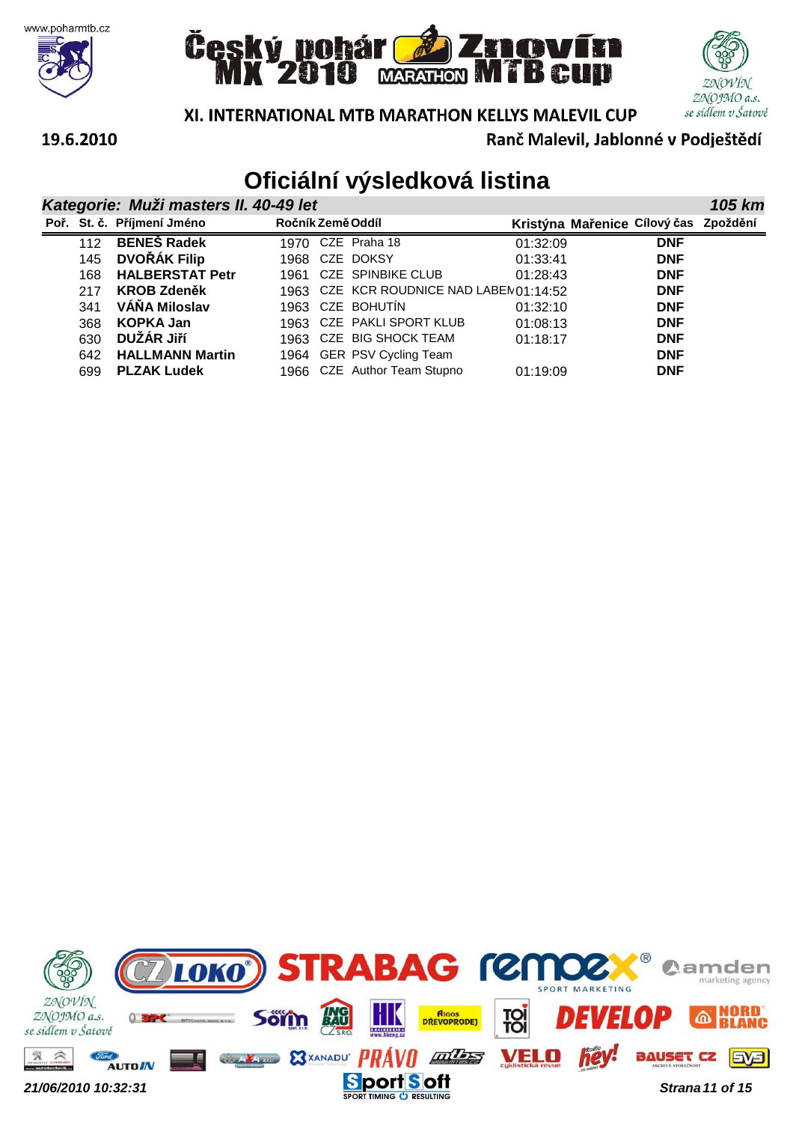







**105 km**

XI. INTERNATIONAL MTB MARATHON KELLYS MALEVIL CUP

Ranč Malevil, Jablonné v Podještědí

#### 19.6.2010

|  | Kategorie: Muži masters II. 40-49 let |  |
|--|---------------------------------------|--|
|--|---------------------------------------|--|

|     | Poř. St. č. Příjmení Jméno | Ročník Země Oddíl |                                         | Kristýna Mařenice Cílový čas Zpoždění |            |  |
|-----|----------------------------|-------------------|-----------------------------------------|---------------------------------------|------------|--|
| 112 | <b>BENEŠ Radek</b>         |                   | 1970 CZE Praha 18                       | 01:32:09                              | <b>DNF</b> |  |
| 145 | <b>DVOŘÁK Filip</b>        |                   | 1968 CZE DOKSY                          | 01:33:41                              | <b>DNF</b> |  |
| 168 | <b>HALBERSTAT Petr</b>     |                   | 1961 CZE SPINBIKE CLUB                  | 01:28:43                              | <b>DNF</b> |  |
| 217 | <b>KROB Zdeněk</b>         |                   | 1963 CZE KCR ROUDNICE NAD LABEN01:14:52 |                                       | <b>DNF</b> |  |
| 341 | VÁŇA Miloslav              |                   | 1963 CZE BOHUTIN                        | 01:32:10                              | <b>DNF</b> |  |
| 368 | <b>KOPKA Jan</b>           |                   | 1963 CZE PAKLI SPORT KLUB               | 01:08:13                              | <b>DNF</b> |  |
| 630 | DUŽÁR JIří                 |                   | 1963 CZE BIG SHOCK TEAM                 | 01:18:17                              | <b>DNF</b> |  |
| 642 | <b>HALLMANN Martin</b>     |                   | 1964 GER PSV Cycling Team               |                                       | <b>DNF</b> |  |
| 699 | <b>PLZAK Ludek</b>         |                   | 1966 CZE Author Team Stupno             | 01:19:09                              | <b>DNF</b> |  |

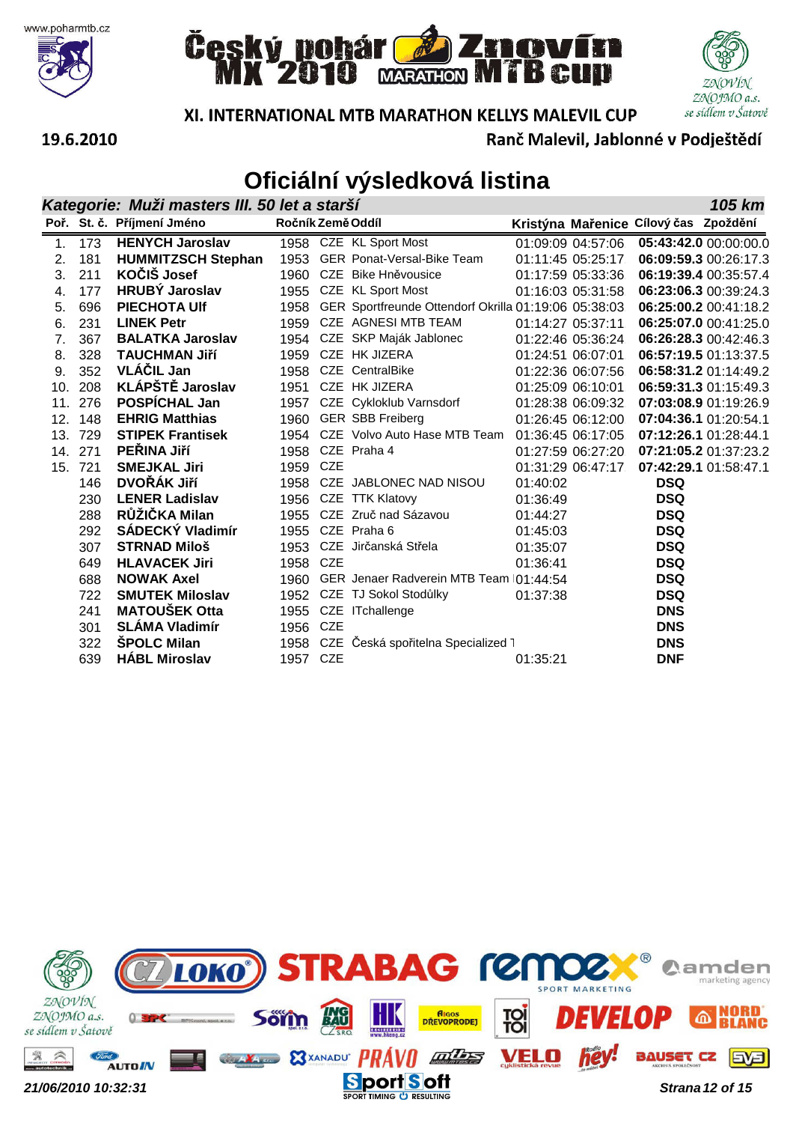







**105 km**

XI. INTERNATIONAL MTB MARATHON KELLYS MALEVIL CUP

Ranč Malevil, Jablonné v Podještědí

# **Oficiální výsledková listina**

#### **Kategorie: Muži masters III. 50 let a starší**

|     |     | Poř. St. č. Příjmení Jméno | Ročník Země Oddíl |     |                                                      |          |                   | Kristýna Mařenice Cílový čas Zpoždění |                       |
|-----|-----|----------------------------|-------------------|-----|------------------------------------------------------|----------|-------------------|---------------------------------------|-----------------------|
| 1.  | 173 | <b>HENYCH Jaroslav</b>     |                   |     | 1958 CZE KL Sport Most                               |          | 01:09:09 04:57:06 |                                       | 05:43:42.0 00:00:00.0 |
| 2.  | 181 | <b>HUMMITZSCH Stephan</b>  |                   |     | 1953 GER Ponat-Versal-Bike Team                      |          | 01:11:45 05:25:17 |                                       | 06:09:59.3 00:26:17.3 |
| 3.  | 211 | KOČIŠ Josef                |                   |     | 1960 CZE Bike Hněvousice                             |          | 01:17:59 05:33:36 |                                       | 06:19:39.4 00:35:57.4 |
| 4.  | 177 | <b>HRUBÝ Jaroslav</b>      | 1955              |     | CZE KL Sport Most                                    |          | 01:16:03 05:31:58 |                                       | 06:23:06.3 00:39:24.3 |
| 5.  | 696 | <b>PIECHOTA Ulf</b>        | 1958              |     | GER Sportfreunde Ottendorf Okrilla 01:19:06 05:38:03 |          |                   |                                       | 06:25:00.2 00:41:18.2 |
| 6.  | 231 | <b>LINEK Petr</b>          | 1959              |     | CZE AGNESI MTB TEAM                                  |          | 01:14:27 05:37:11 |                                       | 06:25:07.0 00:41:25.0 |
| 7.  | 367 | <b>BALATKA Jaroslav</b>    | 1954              |     | CZE SKP Maják Jablonec                               |          | 01:22:46 05:36:24 |                                       | 06:26:28.3 00:42:46.3 |
| 8.  | 328 | <b>TAUCHMAN Jiří</b>       | 1959              |     | CZE HK JIZERA                                        |          | 01:24:51 06:07:01 |                                       | 06:57:19.5 01:13:37.5 |
| 9.  | 352 | VLÁČIL Jan                 |                   |     | 1958 CZE CentralBike                                 |          | 01:22:36 06:07:56 |                                       | 06:58:31.2 01:14:49.2 |
| 10. | 208 | <b>KLÁPŠTĚ Jaroslav</b>    |                   |     | 1951 CZE HK JIZERA                                   |          | 01:25:09 06:10:01 |                                       | 06:59:31.3 01:15:49.3 |
| 11. | 276 | POSPÍCHAL Jan              | 1957              |     | CZE Cykloklub Varnsdorf                              |          | 01:28:38 06:09:32 |                                       | 07:03:08.9 01:19:26.9 |
| 12. | 148 | <b>EHRIG Matthias</b>      | 1960              |     | <b>GER SBB Freiberg</b>                              |          | 01:26:45 06:12:00 |                                       | 07:04:36.1 01:20:54.1 |
| 13. | 729 | <b>STIPEK Frantisek</b>    |                   |     | 1954 CZE Volvo Auto Hase MTB Team                    |          | 01:36:45 06:17:05 |                                       | 07:12:26.1 01:28:44.1 |
| 14. | 271 | PEŘINA Jiří                |                   |     | 1958 CZE Praha 4                                     |          | 01:27:59 06:27:20 |                                       | 07:21:05.2 01:37:23.2 |
| 15. | 721 | <b>SMEJKAL Jiri</b>        | 1959 CZE          |     |                                                      |          | 01:31:29 06:47:17 |                                       | 07:42:29.1 01:58:47.1 |
|     | 146 | DVOŘÁK Jiří                |                   |     | 1958 CZE JABLONEC NAD NISOU                          | 01:40:02 |                   | <b>DSQ</b>                            |                       |
|     | 230 | <b>LENER Ladislav</b>      |                   |     | 1956 CZE TTK Klatovy                                 | 01:36:49 |                   | <b>DSQ</b>                            |                       |
|     | 288 | RŮŽIČKA Milan              |                   |     | 1955 CZE Zruč nad Sázavou                            | 01:44:27 |                   | <b>DSQ</b>                            |                       |
|     | 292 | SÁDECKÝ Vladimír           |                   |     | 1955 CZE Praha 6                                     | 01:45:03 |                   | <b>DSQ</b>                            |                       |
|     | 307 | <b>STRNAD Miloš</b>        | 1953              |     | CZE Jirčanská Střela                                 | 01:35:07 |                   | <b>DSQ</b>                            |                       |
|     | 649 | <b>HLAVACEK Jiri</b>       | 1958 CZE          |     |                                                      | 01:36:41 |                   | <b>DSQ</b>                            |                       |
|     | 688 | <b>NOWAK Axel</b>          | 1960              |     | GER Jenaer Radverein MTB Team   01:44:54             |          |                   | <b>DSQ</b>                            |                       |
|     | 722 | <b>SMUTEK Miloslav</b>     |                   |     | 1952 CZE TJ Sokol Stodůlky                           | 01:37:38 |                   | <b>DSQ</b>                            |                       |
|     | 241 | <b>MATOUŠEK Otta</b>       |                   |     | 1955 CZE ITchallenge                                 |          |                   | <b>DNS</b>                            |                       |
|     | 301 | <b>SLÁMA Vladimír</b>      | 1956              | CZE |                                                      |          |                   | <b>DNS</b>                            |                       |
|     | 322 | <b>SPOLC Milan</b>         |                   |     | 1958 CZE Česká spořitelna Specialized 1              |          |                   | <b>DNS</b>                            |                       |
|     | 639 | <b>HÁBL Miroslav</b>       | 1957 CZE          |     |                                                      | 01:35:21 |                   | <b>DNF</b>                            |                       |

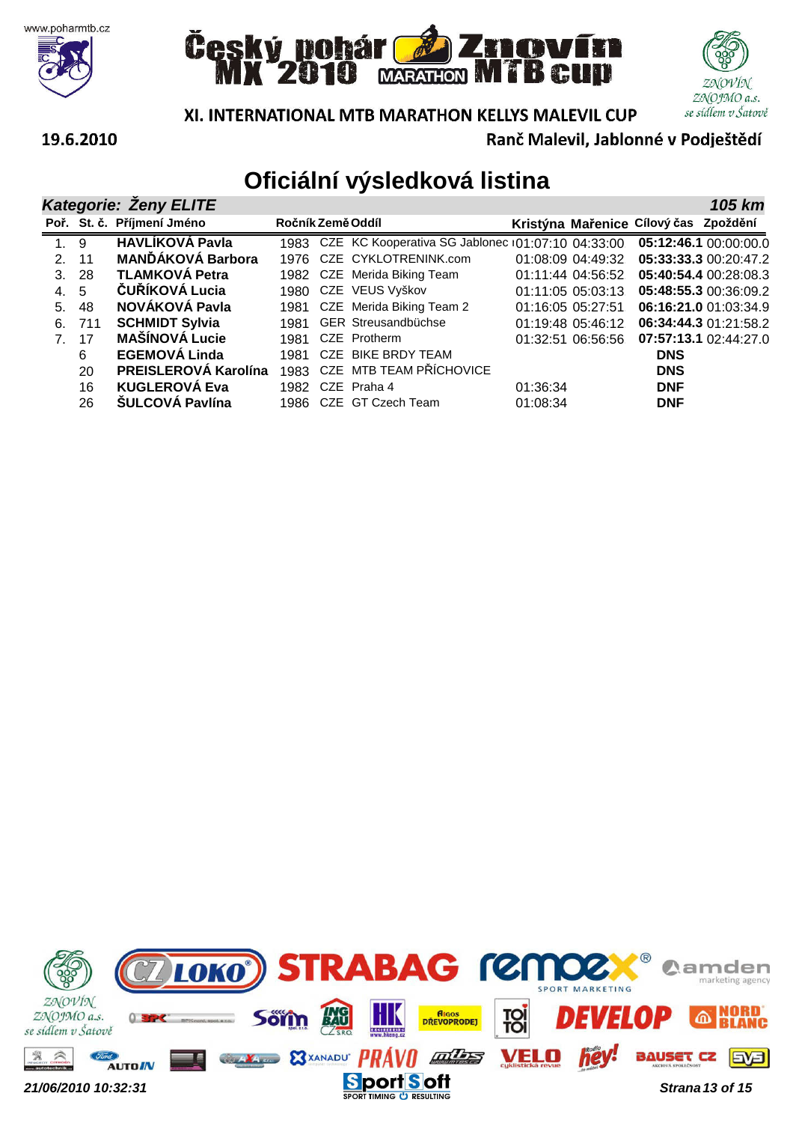







XI. INTERNATIONAL MTB MARATHON KELLYS MALEVIL CUP

Ranč Malevil, Jablonné v Podještědí

|                                |       | <b>Kategorie: Zeny ELITE</b> |                   |                                                        |          |                   |                                       | 105 km                |
|--------------------------------|-------|------------------------------|-------------------|--------------------------------------------------------|----------|-------------------|---------------------------------------|-----------------------|
|                                |       | Poř. St. č. Příjmení Jméno   | Ročník Země Oddíl |                                                        |          |                   | Kristýna Mařenice Cílový čas Zpoždění |                       |
| 1.9                            |       | <b>HAVLÍKOVÁ Pavla</b>       |                   | 1983 CZE KC Kooperativa SG Jablonec (01:07:10 04:33:00 |          |                   |                                       | 05:12:46.1 00:00:00.0 |
| 2.11                           |       | <b>MANĎÁKOVÁ Barbora</b>     |                   | 1976 CZE CYKLOTRENINK.com                              |          | 01:08:09 04:49:32 |                                       | 05:33:33.3 00:20:47.2 |
|                                | 3. 28 | <b>TLAMKOVÁ Petra</b>        |                   | 1982 CZE Merida Biking Team                            |          | 01:11:44 04:56:52 |                                       | 05:40:54.4 00:28:08.3 |
| 4. 5                           |       | ČUŘÍKOVÁ Lucia               |                   | 1980 CZE VEUS Vyškov                                   |          | 01:11:05 05:03:13 |                                       | 05:48:55.3 00:36:09.2 |
| 5.                             | -48   | NOVÁKOVÁ Pavla               |                   | 1981 CZE Merida Biking Team 2                          |          | 01:16:05 05:27:51 |                                       | 06:16:21.0 01:03:34.9 |
| 6.                             | 711   | <b>SCHMIDT Sylvia</b>        | 1981              | <b>GER Streusandbüchse</b>                             |          | 01:19:48 05:46:12 |                                       | 06:34:44.3 01:21:58.2 |
| $7_{\scriptscriptstyle{\sim}}$ | 17    | <b>MAŠÍNOVÁ Lucie</b>        | 1981              | CZE Protherm                                           |          | 01:32:51 06:56:56 |                                       | 07:57:13.1 02:44:27.0 |
|                                | 6     | <b>EGEMOVÁ Linda</b>         | 1981              | CZE BIKE BRDY TEAM                                     |          |                   | <b>DNS</b>                            |                       |
|                                | 20    | PREISLEROVÁ Karolína         |                   | 1983 CZE MTB TEAM PŘÍCHOVICE                           |          |                   | <b>DNS</b>                            |                       |
|                                | 16    | <b>KUGLEROVÁ Eva</b>         |                   | 1982 CZE Praha 4                                       | 01:36:34 |                   | <b>DNF</b>                            |                       |
|                                | 26    | <b>ŠULCOVÁ Pavlína</b>       |                   | 1986 CZE GT Czech Team                                 | 01:08:34 |                   | <b>DNF</b>                            |                       |

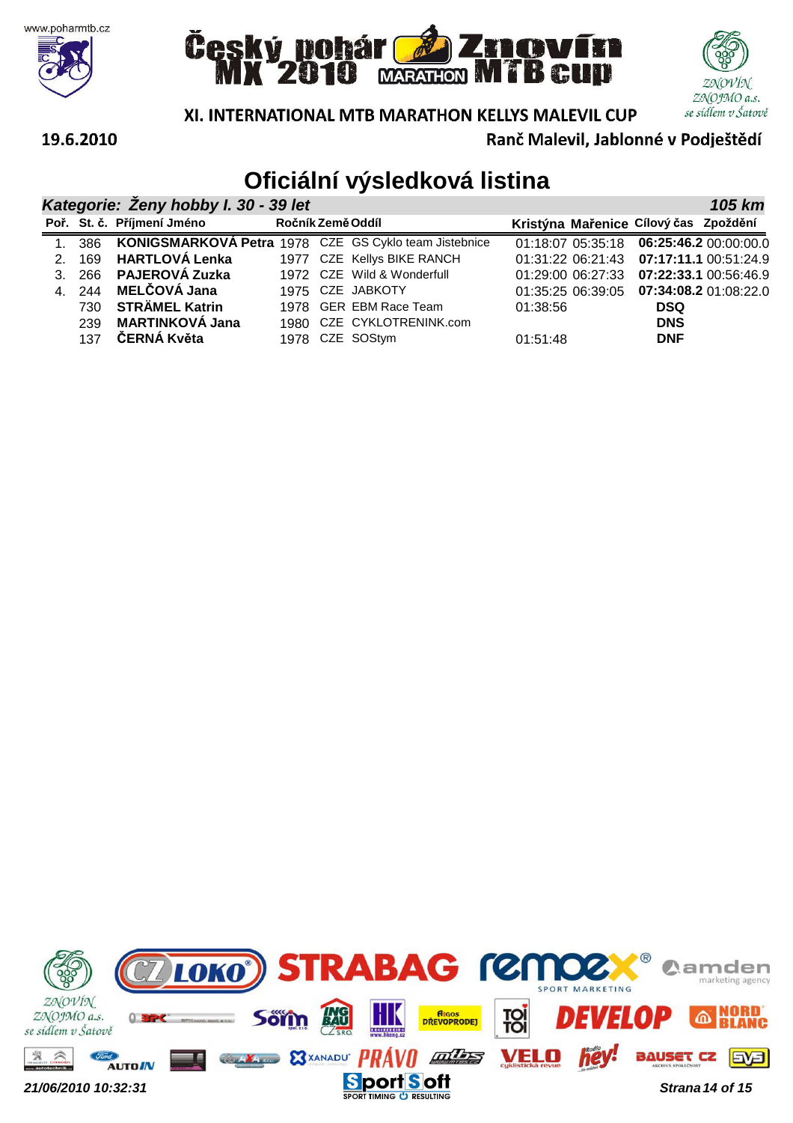







Ranč Malevil, Jablonné v Podještědí

#### 19.6.2010

| Kategorie: Zeny hobby I. 30 - 39 let<br>105 km |       |                                                              |                   |  |                            |          |                   |                                       |                                             |  |
|------------------------------------------------|-------|--------------------------------------------------------------|-------------------|--|----------------------------|----------|-------------------|---------------------------------------|---------------------------------------------|--|
|                                                |       | Poř. St. č. Příjmení Jméno                                   | Ročník Země Oddíl |  |                            |          |                   | Kristýna Mařenice Cílový čas Zpoždění |                                             |  |
|                                                |       | 1. 386 KONIGSMARKOVÁ Petra 1978 CZE GS Cyklo team Jistebnice |                   |  |                            |          |                   |                                       | 01:18:07 05:35:18   06:25:46.2   00:00:00.0 |  |
| $\mathcal{P}$                                  | 169   | HARTLOVÁ Lenka                                               |                   |  | 1977 CZE Kellys BIKE RANCH |          |                   |                                       | 01:31:22 06:21:43   07:17:11.1   00:51:24.9 |  |
|                                                | 3.266 | <b>PAJEROVÁ Zuzka</b>                                        |                   |  | 1972 CZE Wild & Wonderfull |          | 01:29:00 06:27:33 |                                       | 07:22:33.1 00:56:46.9                       |  |
|                                                |       | 4. 244 MELČOVÁ Jana                                          |                   |  | 1975 CZE JABKOTY           |          |                   |                                       | 01:35:25 06:39:05 07:34:08.2 01:08:22.0     |  |
|                                                | 730   | <b>STRÄMEL Katrin</b>                                        |                   |  | 1978 GER EBM Race Team     | 01:38:56 |                   | <b>DSQ</b>                            |                                             |  |
|                                                | 239   | <b>MARTINKOVÁ Jana</b>                                       |                   |  | 1980 CZE CYKLOTRENINK.com  |          |                   | <b>DNS</b>                            |                                             |  |
|                                                | 137   | ČERNÁ Květa                                                  |                   |  | 1978 CZE SOStym            | 01:51:48 |                   | <b>DNF</b>                            |                                             |  |